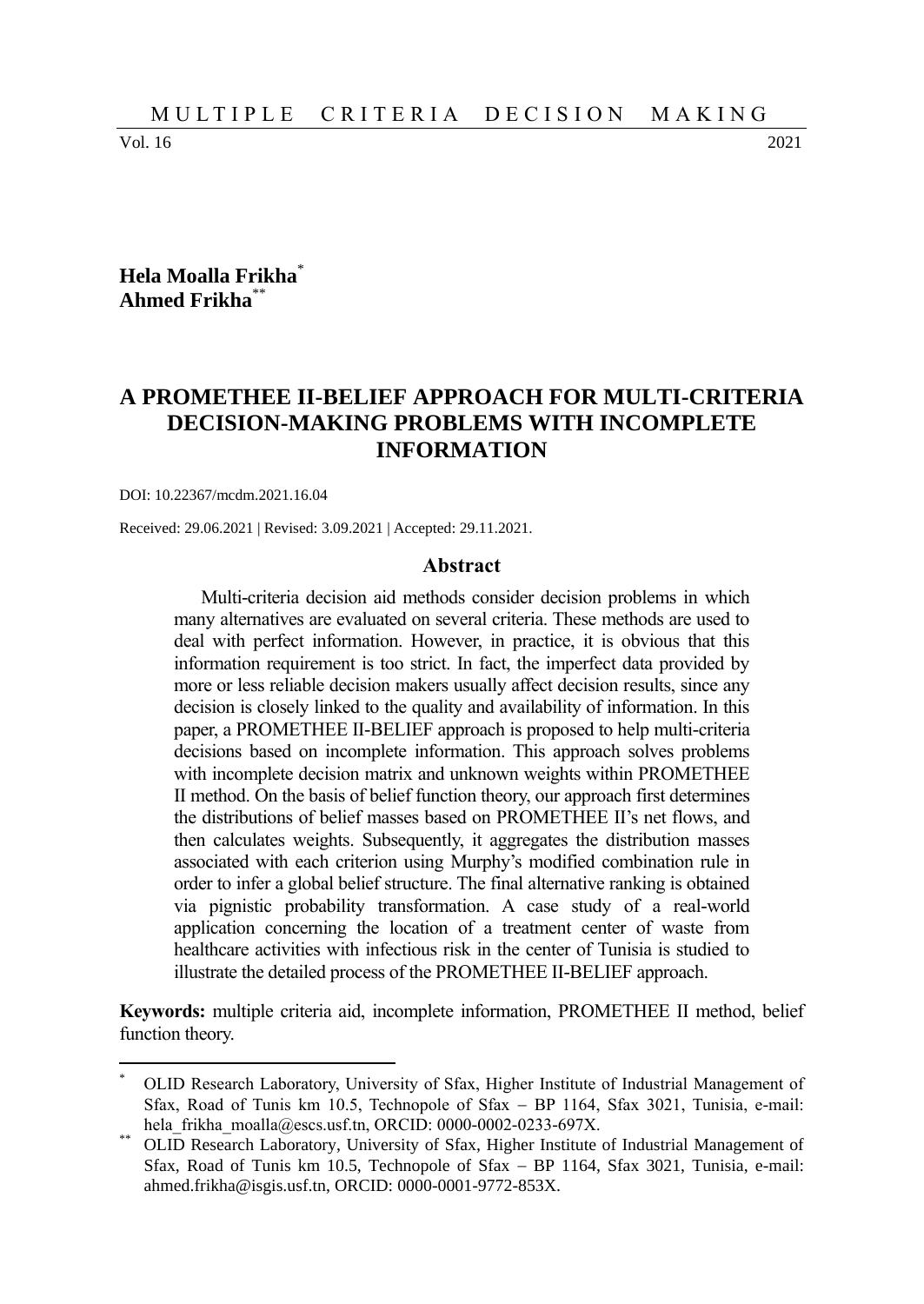Vol. 16 2021

 $\overline{a}$ 

### **Hela Moalla Frikha**\* **Ahmed Frikha**\*\*

# **A PROMETHEE II-BELIEF APPROACH FOR MULTI-CRITERIA DECISION-MAKING PROBLEMS WITH INCOMPLETE INFORMATION**

#### DOI: 10.22367/mcdm.2021.16.04

Received: 29.06.2021 | Revised: 3.09.2021 | Accepted: 29.11.2021.

#### **Abstract**

Multi-criteria decision aid methods consider decision problems in which many alternatives are evaluated on several criteria. These methods are used to deal with perfect information. However, in practice, it is obvious that this information requirement is too strict. In fact, the imperfect data provided by more or less reliable decision makers usually affect decision results, since any decision is closely linked to the quality and availability of information. In this paper, a PROMETHEE II-BELIEF approach is proposed to help multi-criteria decisions based on incomplete information. This approach solves problems with incomplete decision matrix and unknown weights within PROMETHEE II method. On the basis of belief function theory, our approach first determines the distributions of belief masses based on PROMETHEE II's net flows, and then calculates weights. Subsequently, it aggregates the distribution masses associated with each criterion using Murphy's modified combination rule in order to infer a global belief structure. The final alternative ranking is obtained via pignistic probability transformation. A case study of a real-world application concerning the location of a treatment center of waste from healthcare activities with infectious risk in the center of Tunisia is studied to illustrate the detailed process of the PROMETHEE II-BELIEF approach.

**Keywords:** multiple criteria aid, incomplete information, PROMETHEE II method, belief function theory.

<sup>\*</sup> OLID Research Laboratory, University of Sfax, Higher Institute of Industrial Management of Sfax, Road of Tunis km 10.5, Technopole of Sfax  $-$  BP 1164, Sfax 3021, Tunisia, e-mail: hela\_frikha\_moalla@escs.usf.tn, ORCID: 0000-0002-0233-697X.

OLID Research Laboratory, University of Sfax, Higher Institute of Industrial Management of Sfax, Road of Tunis km 10.5, Technopole of Sfax - BP 1164, Sfax 3021, Tunisia, e-mail: ahmed.frikha@isgis.usf.tn, ORCID: 0000-0001-9772-853X.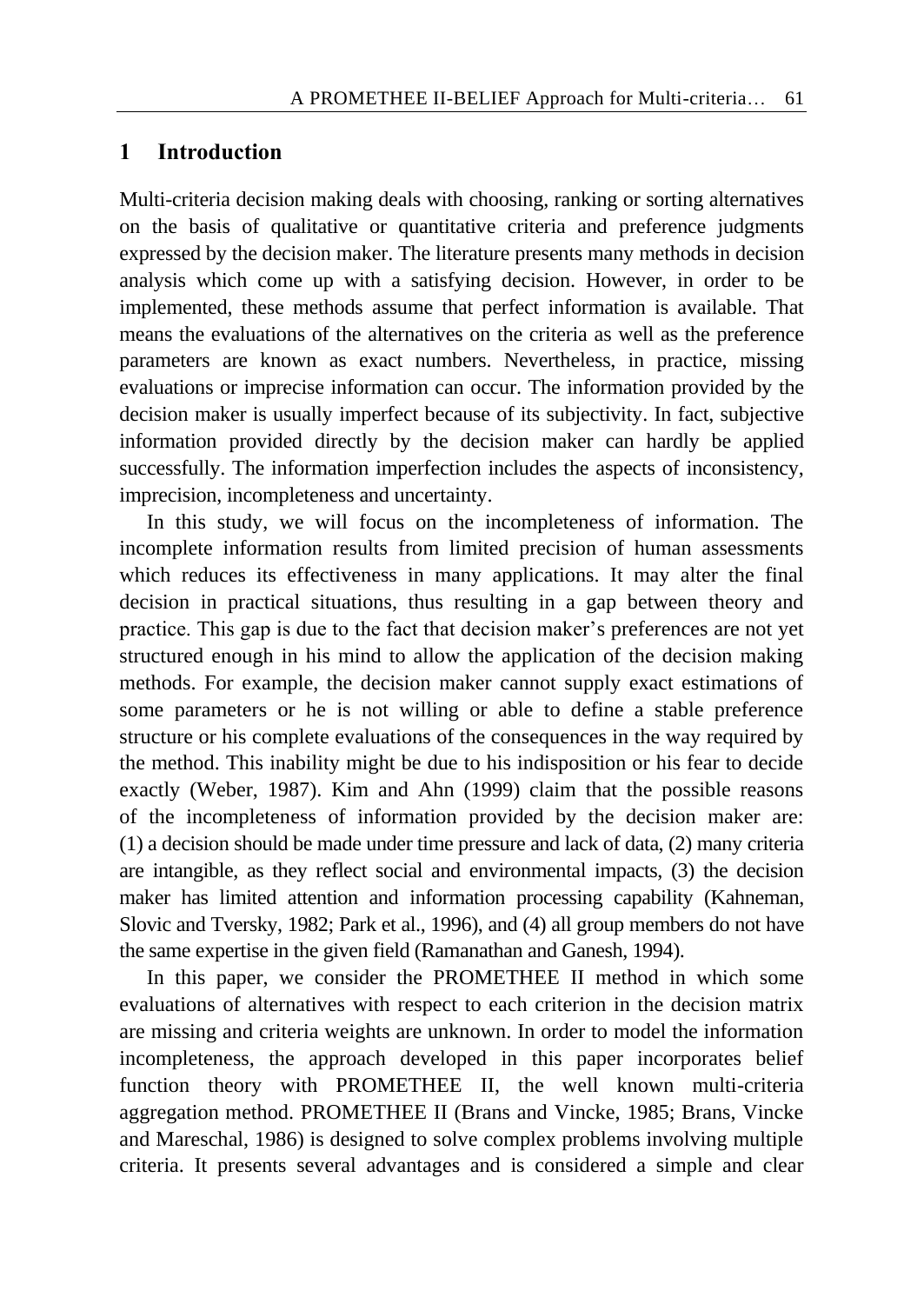### **1 Introduction**

Multi-criteria decision making deals with choosing, ranking or sorting alternatives on the basis of qualitative or quantitative criteria and preference judgments expressed by the decision maker. The literature presents many methods in decision analysis which come up with a satisfying decision. However, in order to be implemented, these methods assume that perfect information is available. That means the evaluations of the alternatives on the criteria as well as the preference parameters are known as exact numbers. Nevertheless, in practice, missing evaluations or imprecise information can occur. The information provided by the decision maker is usually imperfect because of its subjectivity. In fact, subjective information provided directly by the decision maker can hardly be applied successfully. The information imperfection includes the aspects of inconsistency, imprecision, incompleteness and uncertainty.

In this study, we will focus on the incompleteness of information. The incomplete information results from limited precision of human assessments which reduces its effectiveness in many applications. It may alter the final decision in practical situations, thus resulting in a gap between theory and practice. This gap is due to the fact that decision maker's preferences are not yet structured enough in his mind to allow the application of the decision making methods. For example, the decision maker cannot supply exact estimations of some parameters or he is not willing or able to define a stable preference structure or his complete evaluations of the consequences in the way required by the method. This inability might be due to his indisposition or his fear to decide exactly (Weber, 1987). Kim and Ahn (1999) claim that the possible reasons of the incompleteness of information provided by the decision maker are: (1) a decision should be made under time pressure and lack of data, (2) many criteria are intangible, as they reflect social and environmental impacts, (3) the decision maker has limited attention and information processing capability (Kahneman, Slovic and Tversky, 1982; Park et al., 1996), and (4) all group members do not have the same expertise in the given field (Ramanathan and Ganesh, 1994).

In this paper, we consider the PROMETHEE II method in which some evaluations of alternatives with respect to each criterion in the decision matrix are missing and criteria weights are unknown. In order to model the information incompleteness, the approach developed in this paper incorporates belief function theory with PROMETHEE II, the well known multi-criteria aggregation method. PROMETHEE II (Brans and Vincke, 1985; Brans, Vincke and Mareschal, 1986) is designed to solve complex problems involving multiple criteria. It presents several advantages and is considered a simple and clear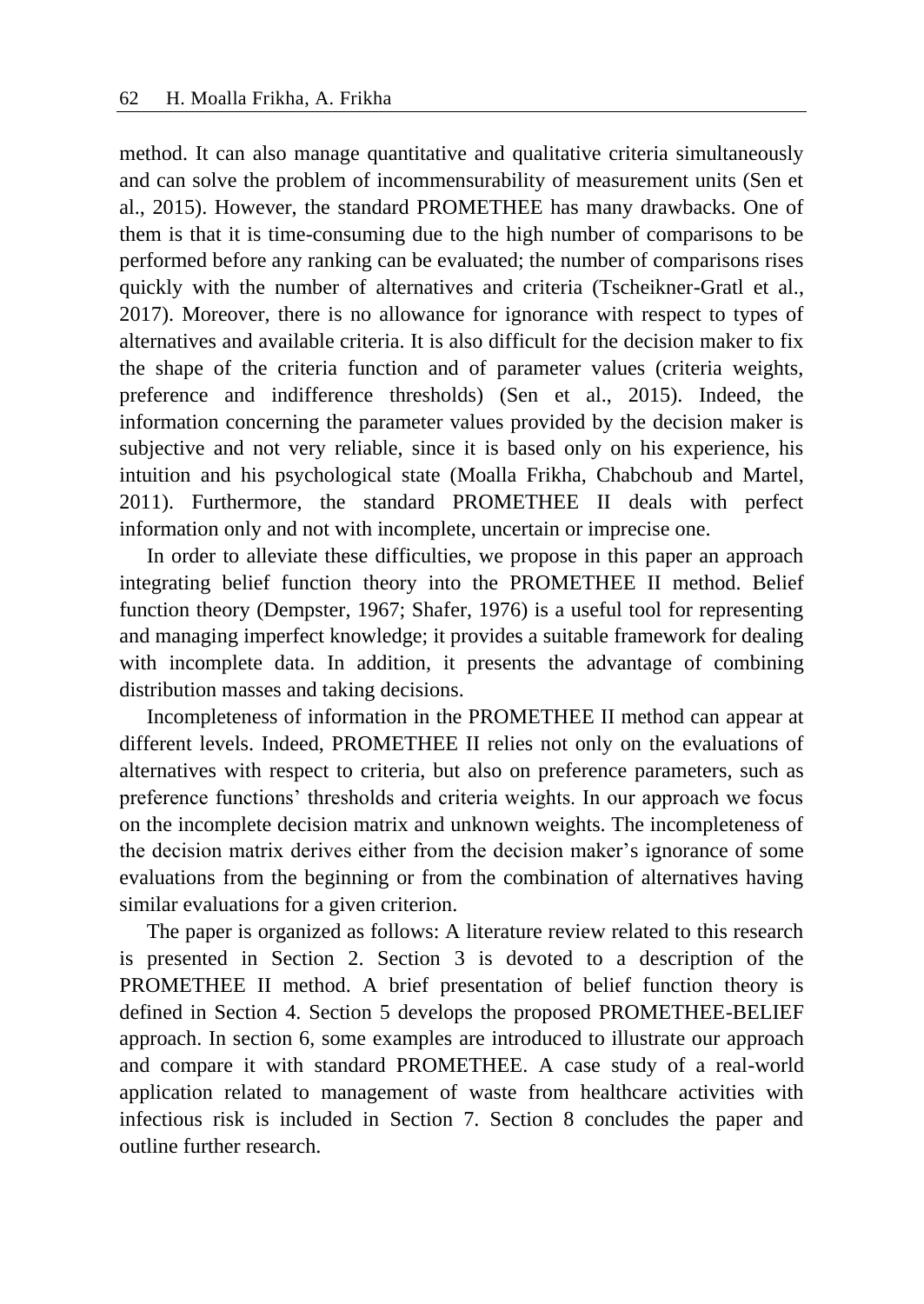method. It can also manage quantitative and qualitative criteria simultaneously and can solve the problem of incommensurability of measurement units (Sen et al., 2015). However, the standard PROMETHEE has many drawbacks. One of them is that it is time-consuming due to the high number of comparisons to be performed before any ranking can be evaluated; the number of comparisons rises quickly with the number of alternatives and criteria (Tscheikner-Gratl et al., 2017). Moreover, there is no allowance for ignorance with respect to types of alternatives and available criteria. It is also difficult for the decision maker to fix the shape of the criteria function and of parameter values (criteria weights, preference and indifference thresholds) (Sen et al., 2015). Indeed, the information concerning the parameter values provided by the decision maker is subjective and not very reliable, since it is based only on his experience, his intuition and his psychological state (Moalla Frikha, Chabchoub and Martel, 2011). Furthermore, the standard PROMETHEE II deals with perfect information only and not with incomplete, uncertain or imprecise one.

In order to alleviate these difficulties, we propose in this paper an approach integrating belief function theory into the PROMETHEE II method. Belief function theory (Dempster, 1967; Shafer, 1976) is a useful tool for representing and managing imperfect knowledge; it provides a suitable framework for dealing with incomplete data. In addition, it presents the advantage of combining distribution masses and taking decisions.

Incompleteness of information in the PROMETHEE II method can appear at different levels. Indeed, PROMETHEE II relies not only on the evaluations of alternatives with respect to criteria, but also on preference parameters, such as preference functions' thresholds and criteria weights. In our approach we focus on the incomplete decision matrix and unknown weights. The incompleteness of the decision matrix derives either from the decision maker's ignorance of some evaluations from the beginning or from the combination of alternatives having similar evaluations for a given criterion.

The paper is organized as follows: A literature review related to this research is presented in Section 2. Section 3 is devoted to a description of the PROMETHEE II method. A brief presentation of belief function theory is defined in Section 4. Section 5 develops the proposed PROMETHEE-BELIEF approach. In section 6, some examples are introduced to illustrate our approach and compare it with standard PROMETHEE. A case study of a real-world application related to management of waste from healthcare activities with infectious risk is included in Section 7. Section 8 concludes the paper and outline further research.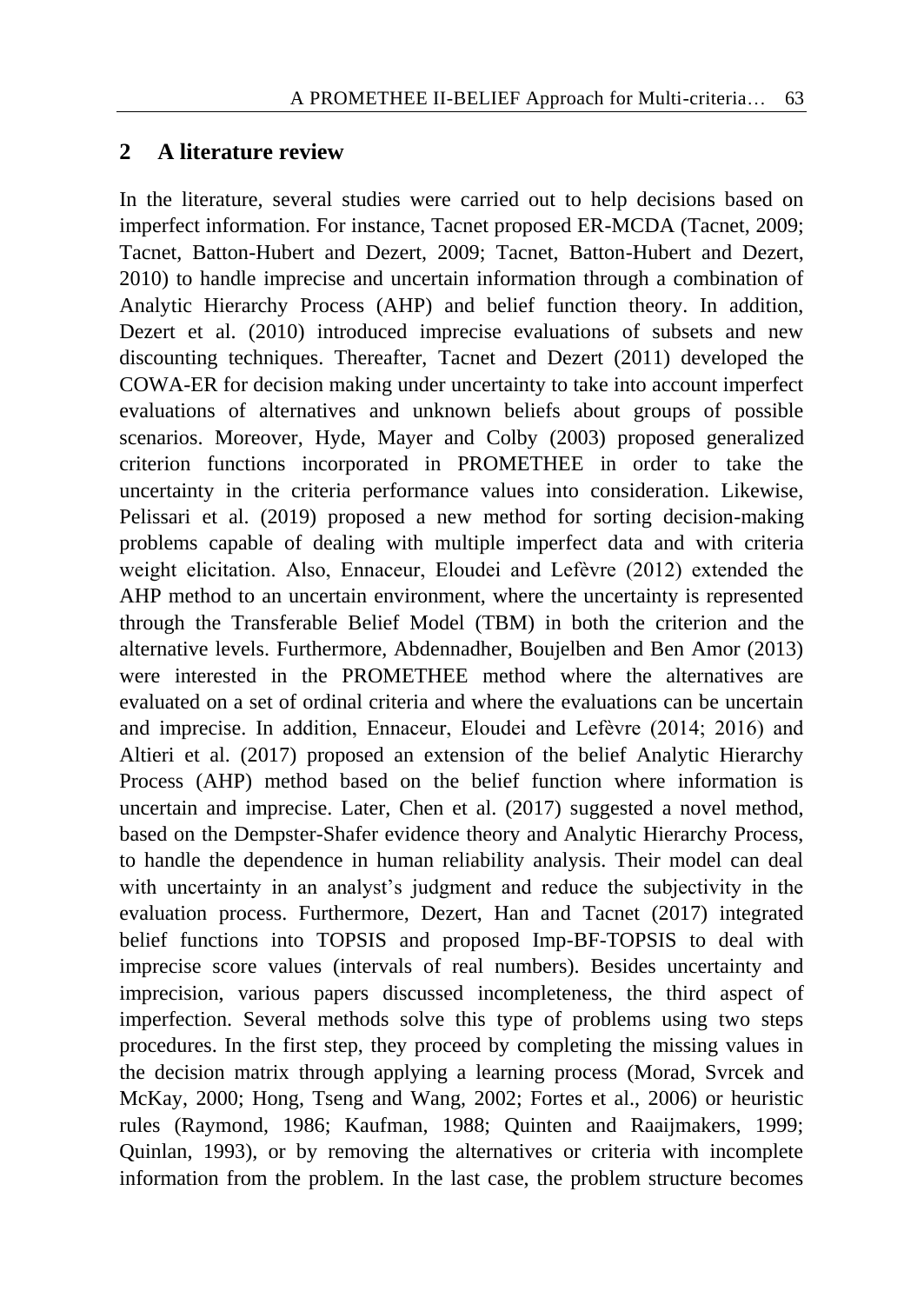## **2 A literature review**

In the literature, several studies were carried out to help decisions based on imperfect information. For instance, Tacnet proposed ER-MCDA (Tacnet, 2009; Tacnet, Batton-Hubert and Dezert, 2009; Tacnet, Batton-Hubert and Dezert, 2010) to handle imprecise and uncertain information through a combination of Analytic Hierarchy Process (AHP) and belief function theory. In addition, Dezert et al. (2010) introduced imprecise evaluations of subsets and new discounting techniques. Thereafter, Tacnet and Dezert (2011) developed the COWA-ER for decision making under uncertainty to take into account imperfect evaluations of alternatives and unknown beliefs about groups of possible scenarios. Moreover, Hyde, Mayer and Colby (2003) proposed generalized criterion functions incorporated in PROMETHEE in order to take the uncertainty in the criteria performance values into consideration. Likewise, Pelissari et al. (2019) proposed a new method for sorting decision-making problems capable of dealing with multiple imperfect data and with criteria weight elicitation. Also, Ennaceur, Eloudei and Lefèvre (2012) extended the AHP method to an uncertain environment, where the uncertainty is represented through the Transferable Belief Model (TBM) in both the criterion and the alternative levels. Furthermore, Abdennadher, Boujelben and Ben Amor (2013) were interested in the PROMETHEE method where the alternatives are evaluated on a set of ordinal criteria and where the evaluations can be uncertain and imprecise. In addition, Ennaceur, Eloudei and Lefèvre (2014; 2016) and Altieri et al. (2017) proposed an extension of the belief Analytic Hierarchy Process (AHP) method based on the belief function where information is uncertain and imprecise. Later, Chen et al. (2017) suggested a novel method, based on the Dempster-Shafer evidence theory and Analytic Hierarchy Process, to handle the dependence in human reliability analysis. Their model can deal with uncertainty in an analyst's judgment and reduce the subjectivity in the evaluation process. Furthermore, Dezert, Han and Tacnet (2017) integrated belief functions into TOPSIS and proposed Imp-BF-TOPSIS to deal with imprecise score values (intervals of real numbers). Besides uncertainty and imprecision, various papers discussed incompleteness, the third aspect of imperfection. Several methods solve this type of problems using two steps procedures. In the first step, they proceed by completing the missing values in the decision matrix through applying a learning process (Morad, Svrcek and McKay, 2000; Hong, Tseng and Wang, 2002; Fortes et al., 2006) or heuristic rules (Raymond, 1986; Kaufman, 1988; Quinten and Raaijmakers, 1999; Quinlan, 1993), or by removing the alternatives or criteria with incomplete information from the problem. In the last case, the problem structure becomes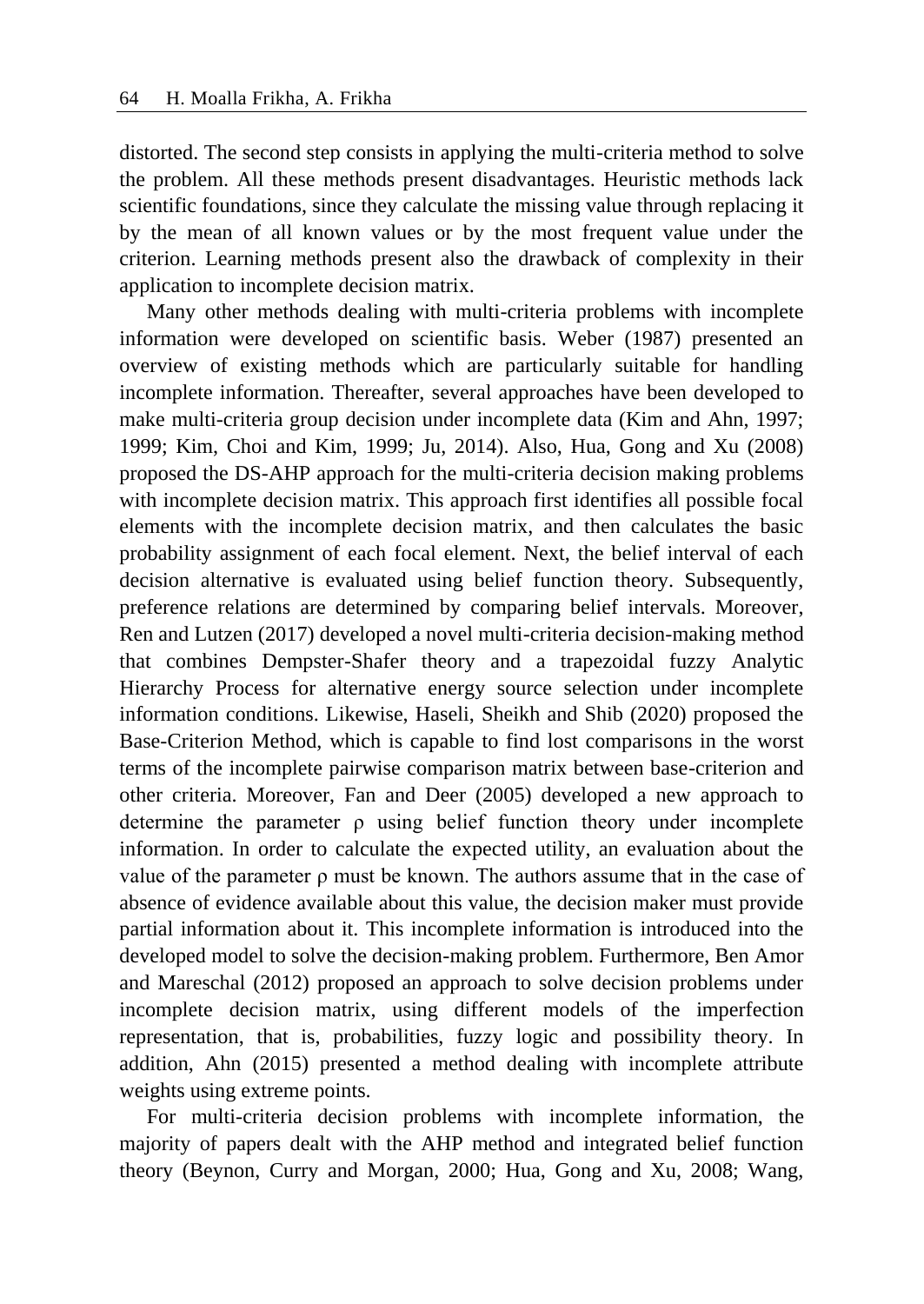distorted. The second step consists in applying the multi-criteria method to solve the problem. All these methods present disadvantages. Heuristic methods lack scientific foundations, since they calculate the missing value through replacing it by the mean of all known values or by the most frequent value under the criterion. Learning methods present also the drawback of complexity in their application to incomplete decision matrix.

Many other methods dealing with multi-criteria problems with incomplete information were developed on scientific basis. Weber (1987) presented an overview of existing methods which are particularly suitable for handling incomplete information. Thereafter, several approaches have been developed to make multi-criteria group decision under incomplete data (Kim and Ahn, 1997; 1999; Kim, Choi and Kim, 1999; Ju, 2014). Also, Hua, Gong and Xu (2008) proposed the DS-AHP approach for the multi-criteria decision making problems with incomplete decision matrix. This approach first identifies all possible focal elements with the incomplete decision matrix, and then calculates the basic probability assignment of each focal element. Next, the belief interval of each decision alternative is evaluated using belief function theory. Subsequently, preference relations are determined by comparing belief intervals. Moreover, Ren and Lutzen (2017) developed a novel multi-criteria decision-making method that combines Dempster-Shafer theory and a trapezoidal fuzzy Analytic Hierarchy Process for alternative energy source selection under incomplete information conditions. Likewise, Haseli, Sheikh and Shib (2020) proposed the Base-Criterion Method, which is capable to find lost comparisons in the worst terms of the incomplete pairwise comparison matrix between base-criterion and other criteria. Moreover, Fan and Deer (2005) developed a new approach to determine the parameter  $\rho$  using belief function theory under incomplete information. In order to calculate the expected utility, an evaluation about the value of the parameter  $\rho$  must be known. The authors assume that in the case of absence of evidence available about this value, the decision maker must provide partial information about it. This incomplete information is introduced into the developed model to solve the decision-making problem. Furthermore, Ben Amor and Mareschal (2012) proposed an approach to solve decision problems under incomplete decision matrix, using different models of the imperfection representation, that is, probabilities, fuzzy logic and possibility theory. In addition, Ahn (2015) presented a method dealing with incomplete attribute weights using extreme points.

For multi-criteria decision problems with incomplete information, the majority of papers dealt with the AHP method and integrated belief function theory (Beynon, Curry and Morgan, 2000; Hua, Gong and Xu, 2008; Wang,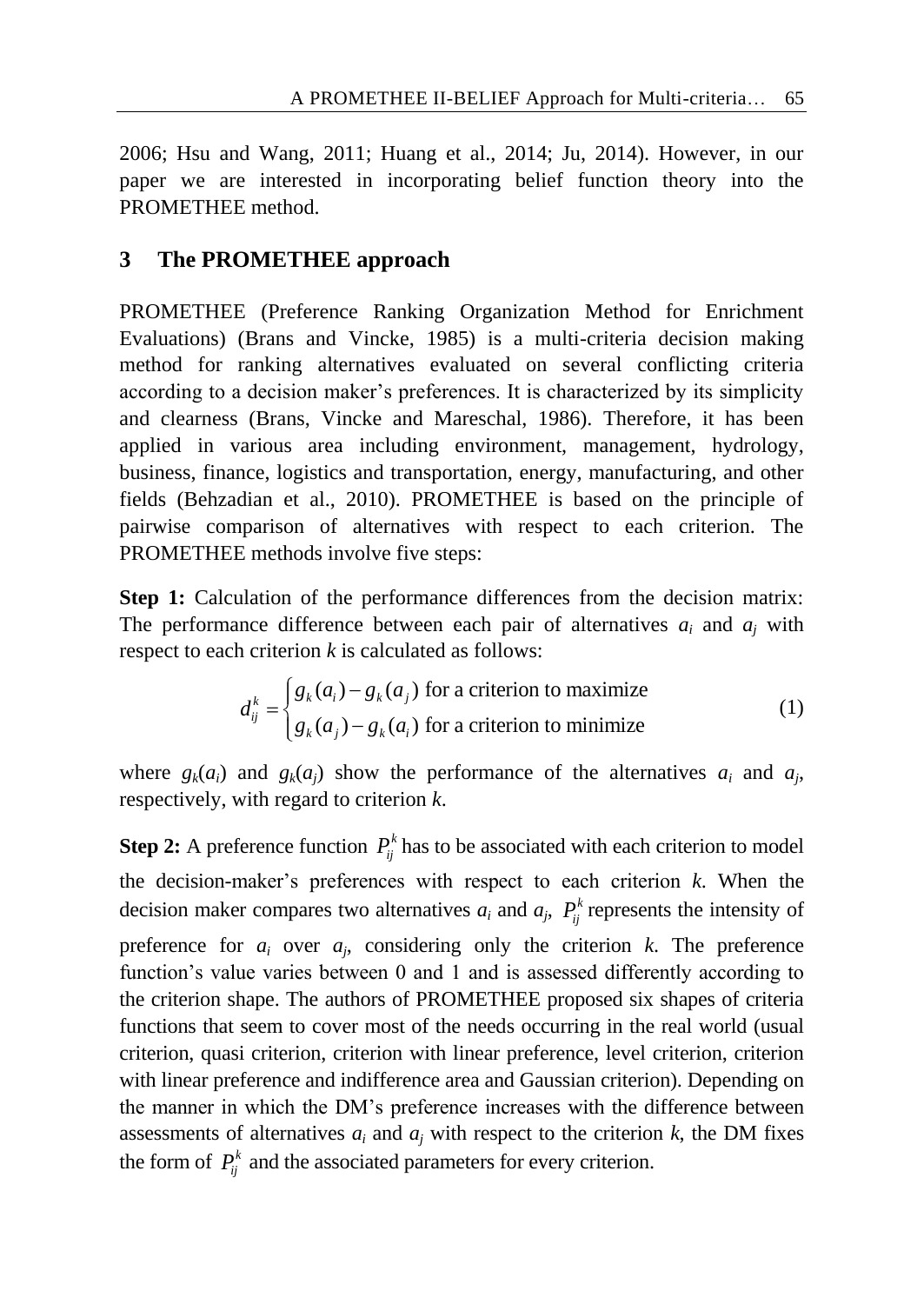2006; Hsu and Wang, 2011; Huang et al., 2014; Ju, 2014). However, in our paper we are interested in incorporating belief function theory into the PROMETHEE method.

# **3 The PROMETHEE approach**

PROMETHEE (Preference Ranking Organization Method for Enrichment Evaluations) (Brans and Vincke, 1985) is a multi-criteria decision making method for ranking alternatives evaluated on several conflicting criteria according to a decision maker's preferences. It is characterized by its simplicity and clearness (Brans, Vincke and Mareschal, 1986). Therefore, it has been applied in various area including environment, management, hydrology, business, finance, logistics and transportation, energy, manufacturing, and other fields (Behzadian et al., 2010). PROMETHEE is based on the principle of pairwise comparison of alternatives with respect to each criterion. The PROMETHEE methods involve five steps:

**Step 1:** Calculation of the performance differences from the decision matrix: The performance difference between each pair of alternatives  $a_i$  and  $a_j$  with

respect to each criterion *k* is calculated as follows:  
\n
$$
d_{ij}^{k} = \begin{cases} g_{k}(a_{i}) - g_{k}(a_{j}) & \text{for a criterion to maximize} \\ g_{k}(a_{j}) - g_{k}(a_{i}) & \text{for a criterion to minimize} \end{cases}
$$
\n(1)

where  $g_k(a_i)$  and  $g_k(a_j)$  show the performance of the alternatives  $a_i$  and  $a_j$ , respectively, with regard to criterion *k*.

**Step 2:** A preference function  $P_i^k$  has to be associated with each criterion to model the decision-maker's preferences with respect to each criterion *k*. When the decision maker compares two alternatives  $a_i$  and  $a_j$ ,  $P_j^k$  represents the intensity of preference for  $a_i$  over  $a_j$ , considering only the criterion  $k$ . The preference function's value varies between 0 and 1 and is assessed differently according to the criterion shape. The authors of PROMETHEE proposed six shapes of criteria functions that seem to cover most of the needs occurring in the real world (usual criterion, quasi criterion, criterion with linear preference, level criterion, criterion with linear preference and indifference area and Gaussian criterion). Depending on the manner in which the DM's preference increases with the difference between assessments of alternatives  $a_i$  and  $a_j$  with respect to the criterion  $k$ , the DM fixes the form of  $P_{ij}^k$  and the associated parameters for every criterion.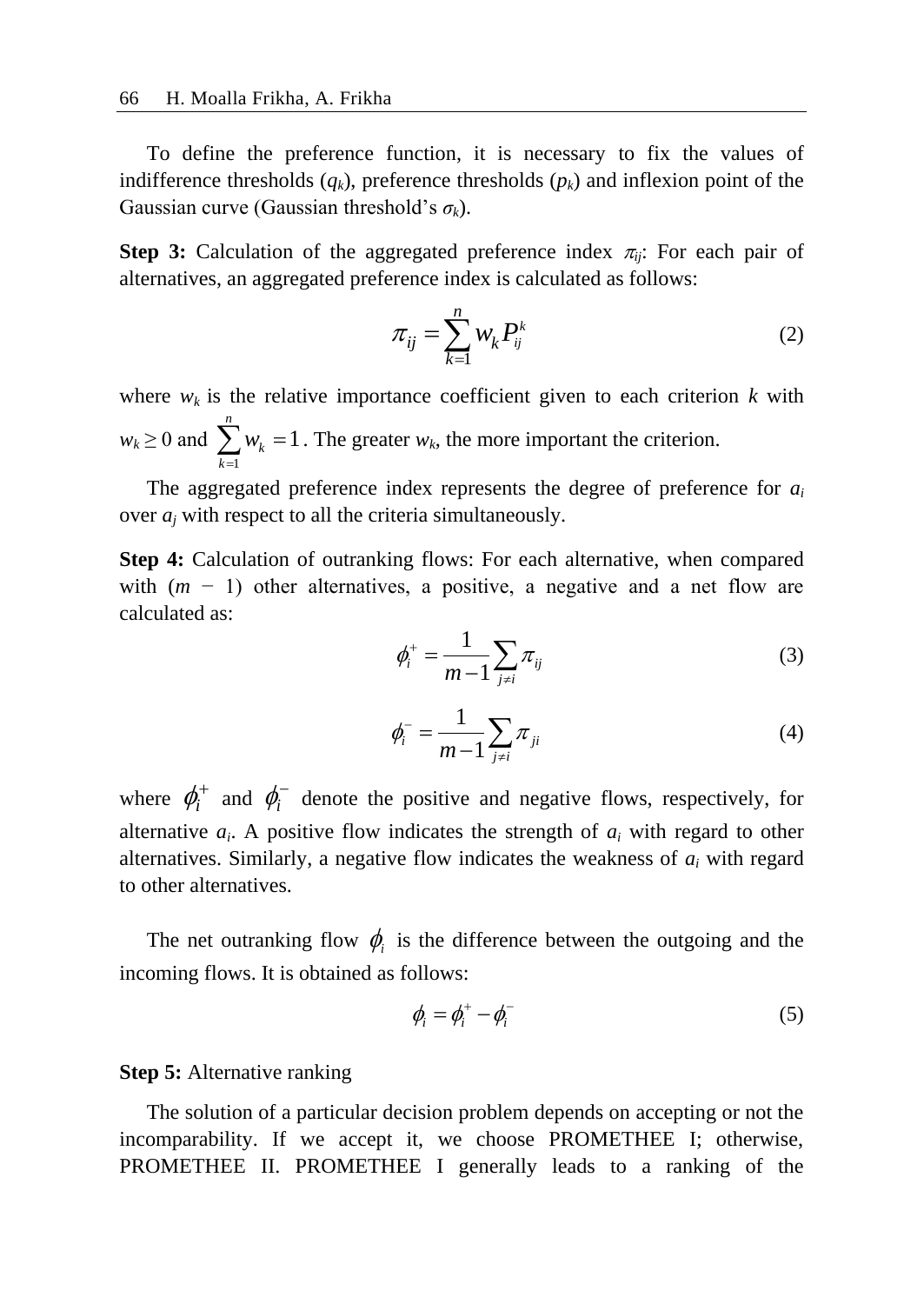To define the preference function, it is necessary to fix the values of indifference thresholds  $(q_k)$ , preference thresholds  $(p_k)$  and inflexion point of the Gaussian curve (Gaussian threshold's *σk*).

**Step 3:** Calculation of the aggregated preference index  $\pi_{ij}$ : For each pair of alternatives, an aggregated preference index is calculated as follows:

$$
\pi_{ij} = \sum_{k=1}^{n} w_k P_{ij}^k \tag{2}
$$

where  $w_k$  is the relative importance coefficient given to each criterion  $k$  with  $w_k \geq 0$  and 1 1 *n k k w*  $\sum_{k=1} w_k = 1$ . The greater  $w_k$ , the more important the criterion.

The aggregated preference index represents the degree of preference for *a<sup>i</sup>* over *a<sup>j</sup>* with respect to all the criteria simultaneously.

**Step 4:** Calculation of outranking flows: For each alternative, when compared with  $(m - 1)$  other alternatives, a positive, a negative and a net flow are calculated as:

$$
\phi_i^+ = \frac{1}{m-1} \sum_{j \neq i} \pi_{ij} \tag{3}
$$

$$
\phi_i^- = \frac{1}{m-1} \sum_{j \neq i} \pi_{ji} \tag{4}
$$

where  $\phi_i^+$  and  $\phi_i^-$  denote the positive and negative flows, respectively, for alternative  $a_i$ . A positive flow indicates the strength of  $a_i$  with regard to other alternatives. Similarly, a negative flow indicates the weakness of *a<sup>i</sup>* with regard to other alternatives.

The net outranking flow  $\phi$ <sub>i</sub> is the difference between the outgoing and the incoming flows. It is obtained as follows:

$$
\phi_i = \phi_i^+ - \phi_i^- \tag{5}
$$

#### **Step 5:** Alternative ranking

The solution of a particular decision problem depends on accepting or not the incomparability. If we accept it, we choose PROMETHEE I; otherwise, PROMETHEE II. PROMETHEE I generally leads to a ranking of the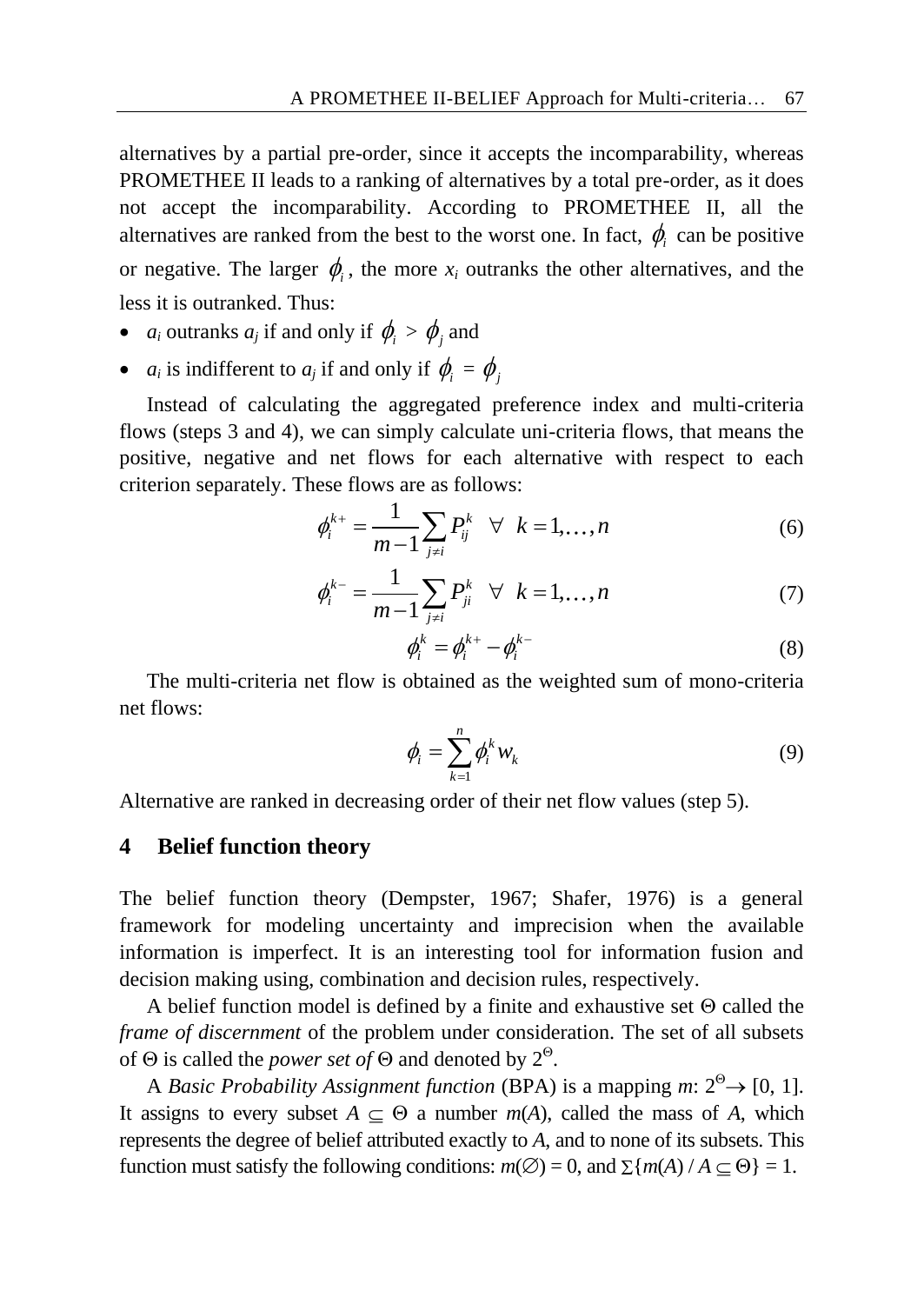alternatives by a partial pre-order, since it accepts the incomparability, whereas PROMETHEE II leads to a ranking of alternatives by a total pre-order, as it does not accept the incomparability. According to PROMETHEE II, all the alternatives are ranked from the best to the worst one. In fact,  $\phi_i$  can be positive or negative. The larger  $\phi_i$ , the more  $x_i$  outranks the other alternatives, and the less it is outranked. Thus:

- *a<sub>i</sub>* outranks *a<sub>j</sub>* if and only if  $\phi_i > \phi_j$  and
- *a<sub>i</sub>* is indifferent to *a<sub>j</sub>* if and only if  $\phi_i = \phi_j$

Instead of calculating the aggregated preference index and multi-criteria flows (steps 3 and 4), we can simply calculate uni-criteria flows, that means the positive, negative and net flows for each alternative with respect to each criterion separately. These flows are as follows:

$$
\phi_i^{k+} = \frac{1}{m-1} \sum_{j \neq i} P_{ij}^k \quad \forall \quad k = 1, ..., n
$$
 (6)

$$
\phi_i^{k-} = \frac{1}{m-1} \sum_{j \neq i} P_{ji}^k \quad \forall \quad k = 1, ..., n
$$
 (7)

$$
\phi_i^k = \phi_i^{k+} - \phi_i^{k-} \tag{8}
$$

The multi-criteria net flow is obtained as the weighted sum of mono-criteria net flows:

$$
\phi_i = \sum_{k=1}^n \phi_i^k w_k \tag{9}
$$

Alternative are ranked in decreasing order of their net flow values (step 5).

#### **4 Belief function theory**

The belief function theory (Dempster, 1967; Shafer, 1976) is a general framework for modeling uncertainty and imprecision when the available information is imperfect. It is an interesting tool for information fusion and decision making using, combination and decision rules, respectively.

A belief function model is defined by a finite and exhaustive set  $\Theta$  called the *frame of discernment* of the problem under consideration. The set of all subsets of  $\Theta$  is called the *power set of*  $\Theta$  and denoted by  $2^{\Theta}$ .

A *Basic Probability Assignment function* (BPA) is a mapping *m*:  $2^{\circ} \rightarrow [0, 1]$ . It assigns to every subset  $A \subseteq \Theta$  a number  $m(A)$ , called the mass of A, which represents the degree of belief attributed exactly to *A*, and to none of its subsets. This function must satisfy the following conditions:  $m(\emptyset) = 0$ , and  $\sum \{m(A) / A \subseteq \Theta\} = 1$ .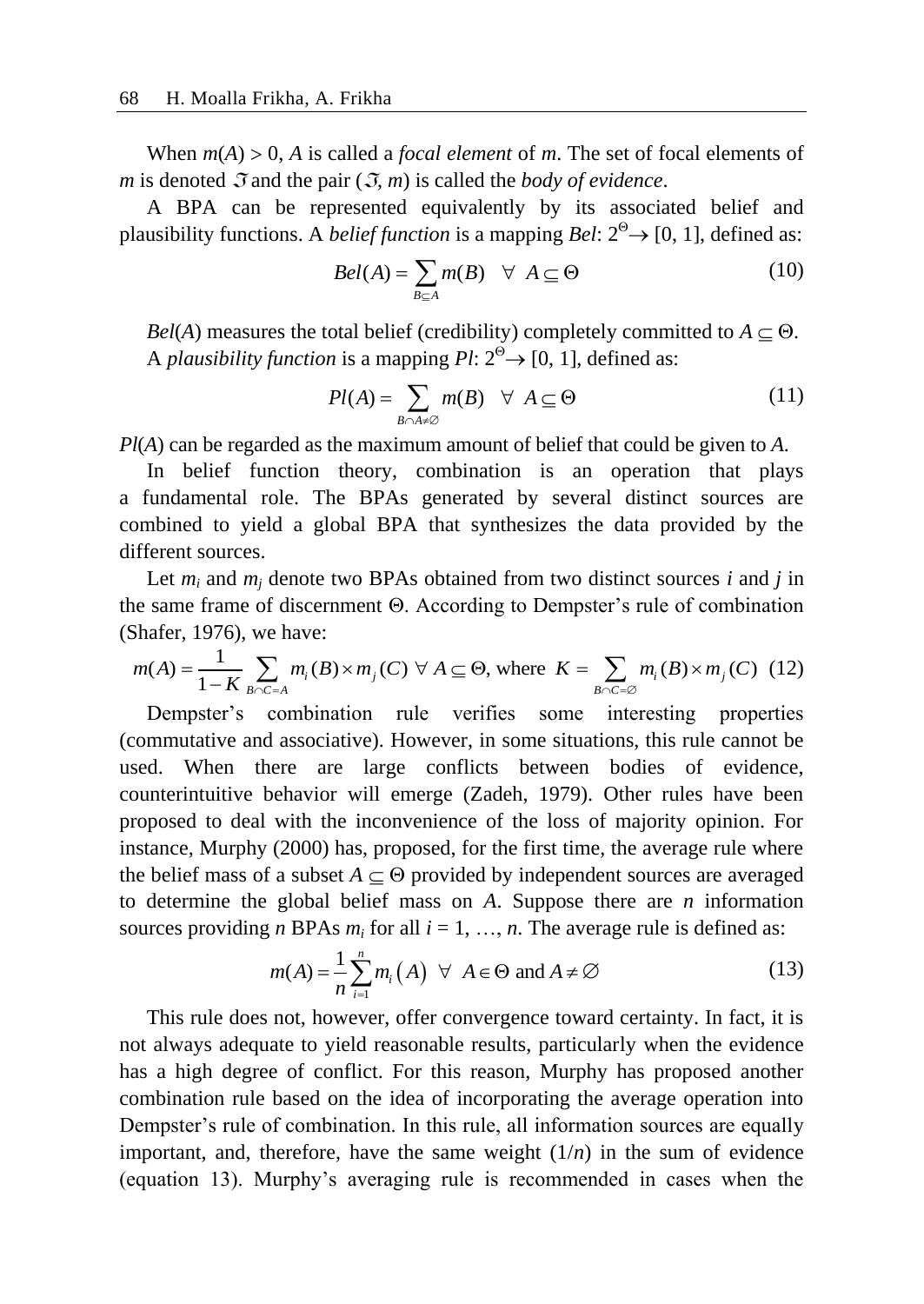When  $m(A) > 0$ , *A* is called a *focal element* of *m*. The set of focal elements of *m* is denoted  $\mathfrak{I}$  and the pair  $(\mathfrak{I}, m)$  is called the *body of evidence*.

A BPA can be represented equivalently by its associated belief and plausibility functions. A *belief function* is a mapping *Bel*:  $2^{\circ} \rightarrow [0, 1]$ , defined as:

$$
Bel(A) = \sum_{B \subseteq A} m(B) \quad \forall \ A \subseteq \Theta \tag{10}
$$

*Bel*(*A*) measures the total belief (credibility) completely committed to  $A \subseteq \Theta$ . A *plausibility function* is a mapping  $Pl: 2^{\circ} \rightarrow [0, 1]$ , defined as:

$$
Pl(A) = \sum_{B \cap A \neq \emptyset} m(B) \quad \forall \ A \subseteq \Theta \tag{11}
$$

*Pl*(*A*) can be regarded as the maximum amount of belief that could be given to *A*.

In belief function theory, combination is an operation that plays a fundamental role. The BPAs generated by several distinct sources are combined to yield a global BPA that synthesizes the data provided by the different sources.

Let *m<sup>i</sup>* and *m<sup>j</sup>* denote two BPAs obtained from two distinct sources *i* and *j* in the same frame of discernment  $\Theta$ . According to Dempster's rule of combination (Shafer, 1976), we have:<br>  $m(A) = \frac{1}{1 - K} \sum_{B \cap C = A} m_i(B) \times m_j(C) \quad \forall A \subseteq \Theta$ , where  $K = \sum_{B \cap C = \emptyset} m_i(B) \times m_j(C)$  (12) (Shafer, 1976), we have: burces.<br>
and  $m_j$  denote two BPAs obtained from two distinct sources *i* and<br>
rame of discernment  $\Theta$ . According to Dempster's rule of combina<br>
76), we have:<br>  $\frac{1}{-K} \sum_{B \cap C = A} m_i(B) \times m_j(C) \forall A \subseteq \Theta$ , where  $K = \sum_{B \cap C = \emptyset} m$ 

$$
m(A) = \frac{1}{1 - K} \sum_{B \cap C = A} m_i(B) \times m_j(C) \quad \forall A \subseteq \Theta, \text{ where } K = \sum_{B \cap C = \emptyset} m_i(B) \times m_j(C) \tag{12}
$$

Dempster's combination rule verifies some interesting properties (commutative and associative). However, in some situations, this rule cannot be used. When there are large conflicts between bodies of evidence, counterintuitive behavior will emerge (Zadeh, 1979). Other rules have been proposed to deal with the inconvenience of the loss of majority opinion. For instance, Murphy (2000) has, proposed, for the first time, the average rule where the belief mass of a subset  $A \subset \Theta$  provided by independent sources are averaged to determine the global belief mass on *A*. Suppose there are *n* information

sources providing *n* BPAs 
$$
m_i
$$
 for all  $i = 1, ..., n$ . The average rule is defined as:  
\n
$$
m(A) = \frac{1}{n} \sum_{i=1}^{n} m_i(A) \ \forall \ A \in \Theta \text{ and } A \neq \emptyset
$$
\n(13)

This rule does not, however, offer convergence toward certainty. In fact, it is not always adequate to yield reasonable results, particularly when the evidence has a high degree of conflict. For this reason, Murphy has proposed another combination rule based on the idea of incorporating the average operation into Dempster's rule of combination. In this rule, all information sources are equally important, and, therefore, have the same weight  $(1/n)$  in the sum of evidence (equation 13). Murphy's averaging rule is recommended in cases when the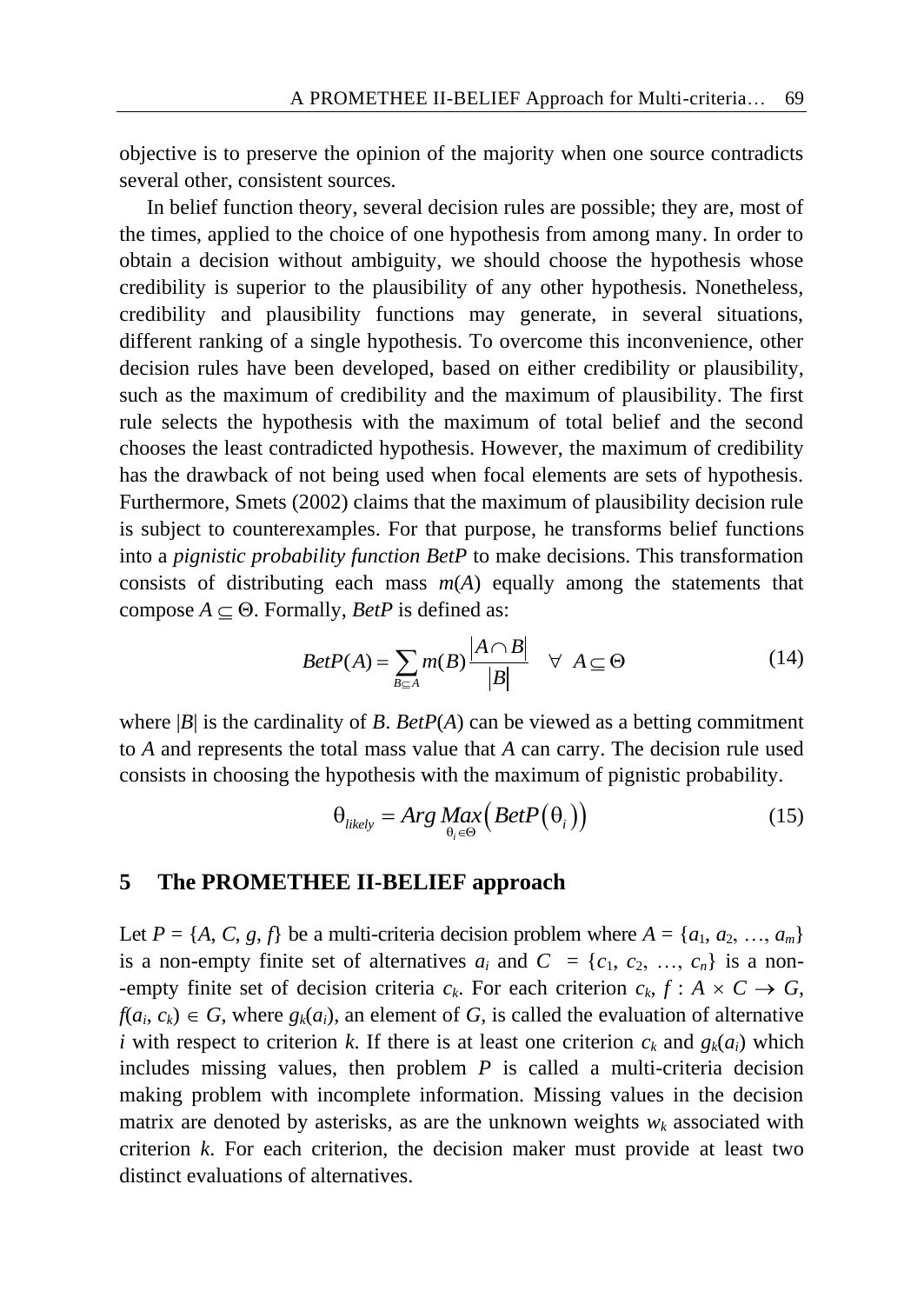objective is to preserve the opinion of the majority when one source contradicts several other, consistent sources.

In belief function theory, several decision rules are possible; they are, most of the times, applied to the choice of one hypothesis from among many. In order to obtain a decision without ambiguity, we should choose the hypothesis whose credibility is superior to the plausibility of any other hypothesis. Nonetheless, credibility and plausibility functions may generate, in several situations, different ranking of a single hypothesis. To overcome this inconvenience, other decision rules have been developed, based on either credibility or plausibility, such as the maximum of credibility and the maximum of plausibility. The first rule selects the hypothesis with the maximum of total belief and the second chooses the least contradicted hypothesis. However, the maximum of credibility has the drawback of not being used when focal elements are sets of hypothesis. Furthermore, Smets (2002) claims that the maximum of plausibility decision rule is subject to counterexamples. For that purpose, he transforms belief functions into a *pignistic probability function BetP* to make decisions. This transformation consists of distributing each mass *m*(*A*) equally among the statements that compose *A*  $\subseteq$   $\Theta$ . Formally, *BetP* is defined as:<br> $R_{ef}P(A) = \sum_{m \in \mathbb{R}} m(R) \frac{|A \cap B|}{m(R)}$ 

$$
BetP(A) = \sum_{B \subseteq A} m(B) \frac{|A \cap B|}{|B|} \quad \forall \ A \subseteq \Theta \tag{14}
$$

where  $|B|$  is the cardinality of *B*. *BetP(A)* can be viewed as a betting commitment to *A* and represents the total mass value that *A* can carry. The decision rule used consists in choosing the hypothesis with the maximum of pignistic probability.

$$
\theta_{\text{likely}} = \text{Arg} \underset{\theta_i \in \Theta}{\text{Max}} \left( \text{Beta}(P(\theta_i)) \right) \tag{15}
$$

#### **5 The PROMETHEE II-BELIEF approach**

Let  $P = \{A, C, g, f\}$  be a multi-criteria decision problem where  $A = \{a_1, a_2, ..., a_m\}$ is a non-empty finite set of alternatives  $a_i$  and  $C = \{c_1, c_2, ..., c_n\}$  is a non--empty finite set of decision criteria  $c_k$ . For each criterion  $c_k$ ,  $f: A \times C \rightarrow G$ ,  $f(a_i, c_k) \in G$ , where  $g_k(a_i)$ , an element of *G*, is called the evaluation of alternative *i* with respect to criterion *k*. If there is at least one criterion  $c_k$  and  $g_k(a_i)$  which includes missing values, then problem *P* is called a multi-criteria decision making problem with incomplete information. Missing values in the decision matrix are denoted by asterisks, as are the unknown weights  $w_k$  associated with criterion *k*. For each criterion, the decision maker must provide at least two distinct evaluations of alternatives.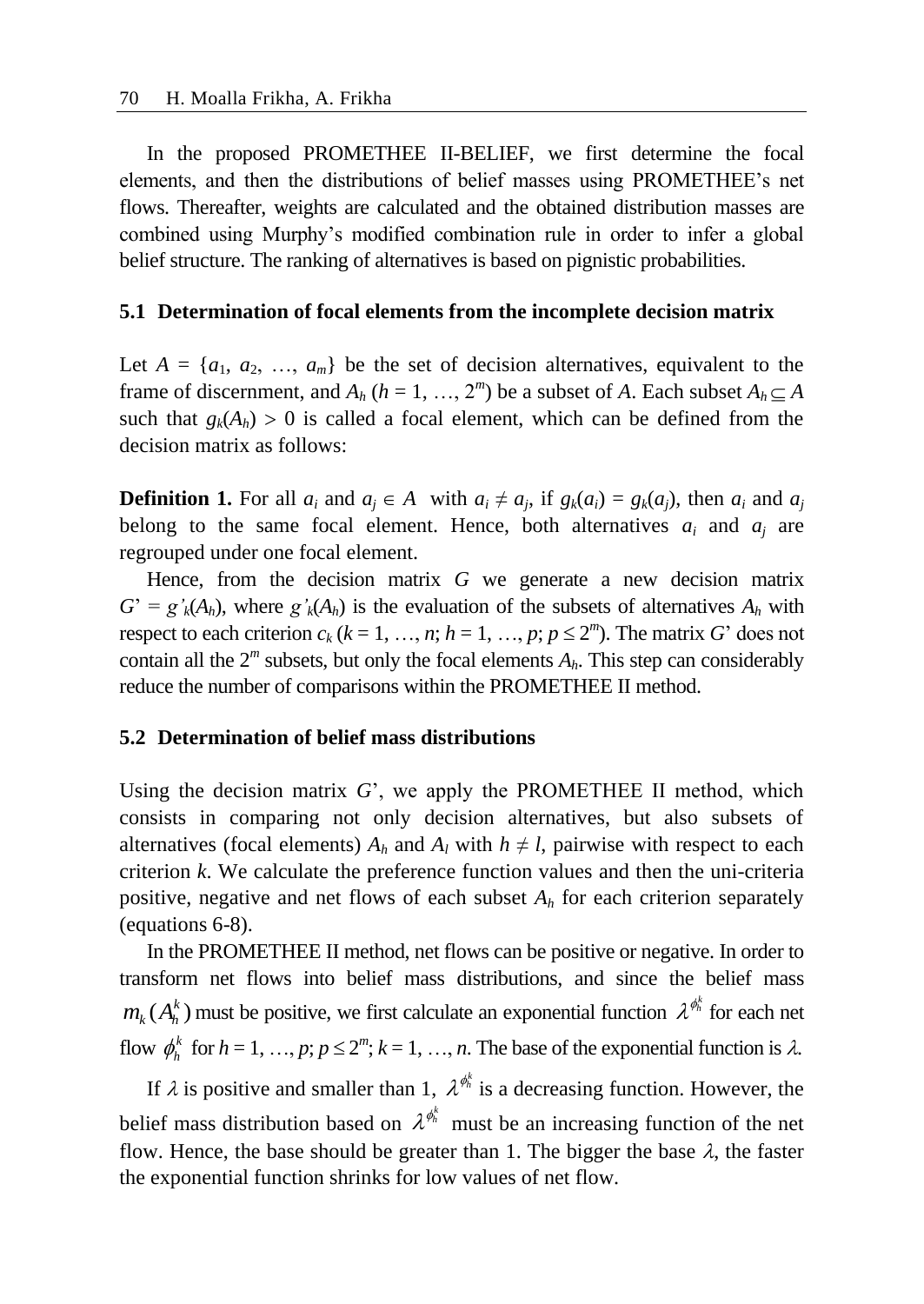In the proposed PROMETHEE II-BELIEF, we first determine the focal elements, and then the distributions of belief masses using PROMETHEE's net flows. Thereafter, weights are calculated and the obtained distribution masses are combined using Murphy's modified combination rule in order to infer a global belief structure. The ranking of alternatives is based on pignistic probabilities.

#### **5.1 Determination of focal elements from the incomplete decision matrix**

Let  $A = \{a_1, a_2, ..., a_m\}$  be the set of decision alternatives, equivalent to the frame of discernment, and  $A_h$  ( $h = 1, ..., 2^m$ ) be a subset of *A*. Each subset  $A_h \subseteq A$ such that  $g_k(A_h) > 0$  is called a focal element, which can be defined from the decision matrix as follows:

**Definition 1.** For all  $a_i$  and  $a_j \in A$  with  $a_i \neq a_j$ , if  $g_k(a_i) = g_k(a_j)$ , then  $a_i$  and  $a_j$ belong to the same focal element. Hence, both alternatives  $a_i$  and  $a_j$  are regrouped under one focal element.

Hence, from the decision matrix *G* we generate a new decision matrix  $G' = g'_{k}(A_{h})$ , where  $g'_{k}(A_{h})$  is the evaluation of the subsets of alternatives  $A_{h}$  with respect to each criterion  $c_k$  ( $k = 1, ..., n$ ;  $h = 1, ..., p$ ;  $p \le 2^m$ ). The matrix *G*' does not contain all the  $2^m$  subsets, but only the focal elements  $A_h$ . This step can considerably reduce the number of comparisons within the PROMETHEE II method.

#### **5.2 Determination of belief mass distributions**

Using the decision matrix *G*', we apply the PROMETHEE II method, which consists in comparing not only decision alternatives, but also subsets of alternatives (focal elements)  $A_h$  and  $A_l$  with  $h \neq l$ , pairwise with respect to each criterion *k*. We calculate the preference function values and then the uni-criteria positive, negative and net flows of each subset  $A_h$  for each criterion separately (equations 6-8).

In the PROMETHEE II method, net flows can be positive or negative. In order to transform net flows into belief mass distributions, and since the belief mass  $m_k(A_h^k)$  must be positive, we first calculate an exponential function  $\lambda^{\phi^k_h}$  for each net flow  $\phi_h^k$  for  $h = 1, ..., p; p \le 2^m; k = 1, ..., n$ . The base of the exponential function is  $\lambda$ .

If  $\lambda$  is positive and smaller than 1,  $\lambda^{\phi^k_h}$  is a decreasing function. However, the belief mass distribution based on  $\lambda^{\phi^k_n}$  must be an increasing function of the net flow. Hence, the base should be greater than 1. The bigger the base  $\lambda$ , the faster the exponential function shrinks for low values of net flow.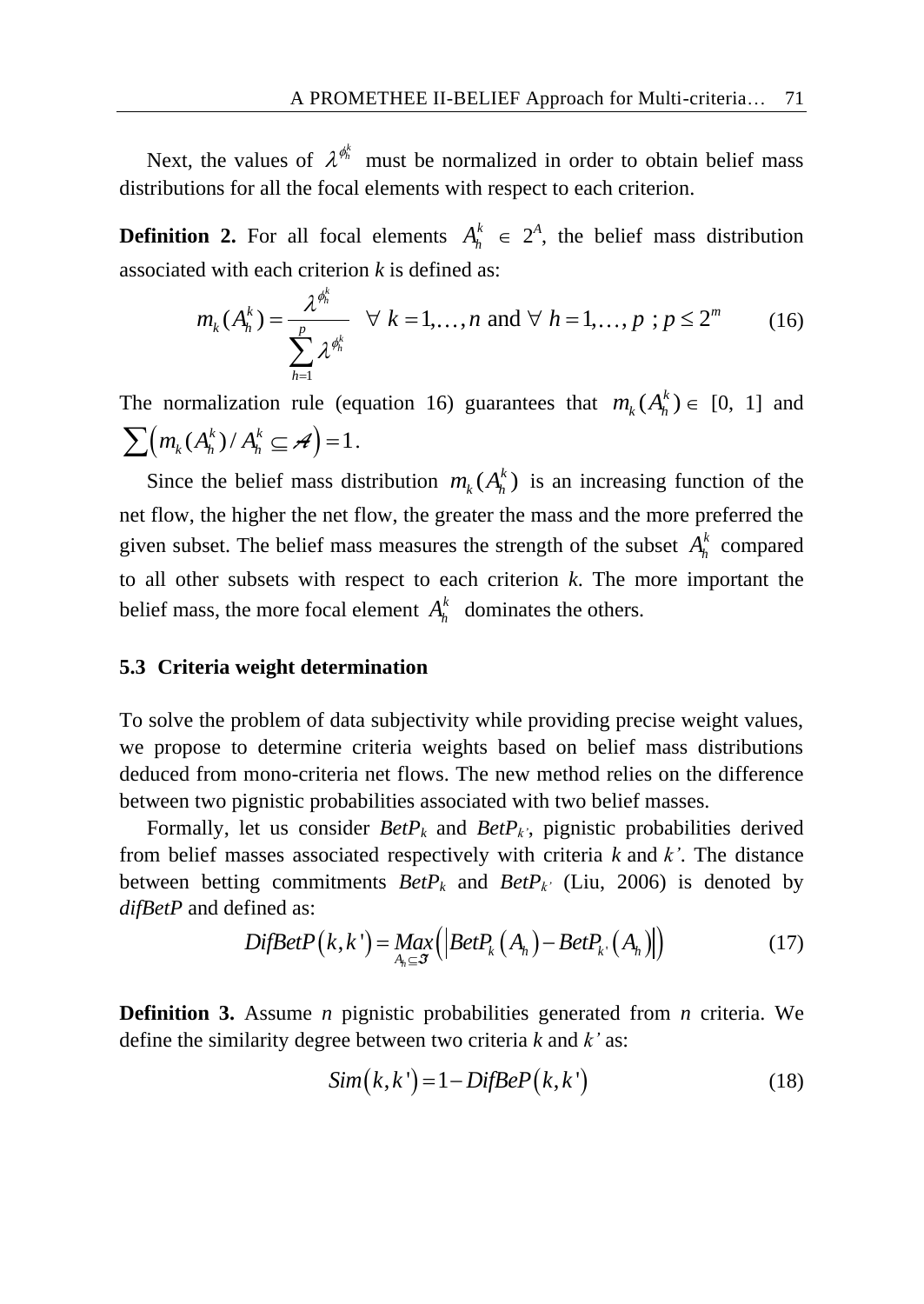Next, the values of  $\lambda^{\phi_h^k}$  must be normalized in order to obtain belief mass distributions for all the focal elements with respect to each criterion.

**Definition 2.** For all focal elements  $A_h^k \in 2^A$ , the belief mass distribution

associated with each criterion *k* is defined as:  
\n
$$
m_k(A_h^k) = \frac{\lambda^{\phi_h^k}}{\sum_{h=1}^p \lambda^{\phi_h^k}} \quad \forall \ k = 1,...,n \text{ and } \forall \ h = 1,...,p \ ; p \le 2^m \qquad (16)
$$

The normalization rule (equation 16) guarantees that  $m_k(A_h^k) \in [0, 1]$  and  $\sum (m_k (A_h^k) / A_h^k \subseteq \mathcal{A}) = 1.$ 

Since the belief mass distribution  $m_k(A_h^k)$  is an increasing function of the net flow, the higher the net flow, the greater the mass and the more preferred the given subset. The belief mass measures the strength of the subset  $A_h^k$  compared to all other subsets with respect to each criterion *k*. The more important the belief mass, the more focal element  $A_h^k$  dominates the others.

#### **5.3 Criteria weight determination**

To solve the problem of data subjectivity while providing precise weight values, we propose to determine criteria weights based on belief mass distributions deduced from mono-criteria net flows. The new method relies on the difference between two pignistic probabilities associated with two belief masses.

Formally, let us consider  $BetP_k$  and  $BetP_k$ <sup>2</sup>, pignistic probabilities derived from belief masses associated respectively with criteria *k* and *k'*. The distance between betting commitments  $BetP_k$  and  $BetP_k$ <sup>*(Liu, 2006)* is denoted by</sup> *difBetP* and defined as: difBetP and defined as:<br>  $DifBetP(k, k') = Max_{A \subset \mathcal{F}}(|BetP_k(A_h) - BetP_k(A_h)|)$ 

$$
\text{Find as:} \\
\text{Dif} \text{Det}P(k, k') = \text{Max} \left( \left| \text{Det}P_k(A_h) - \text{Det}P_{k'}(A_h) \right| \right) \tag{17}
$$

**Definition 3.** Assume *n* pignistic probabilities generated from *n* criteria. We define the similarity degree between two criteria  $k$  and  $k'$  as:

$$
Sim(k, k') = 1 - DifBeP(k, k') \tag{18}
$$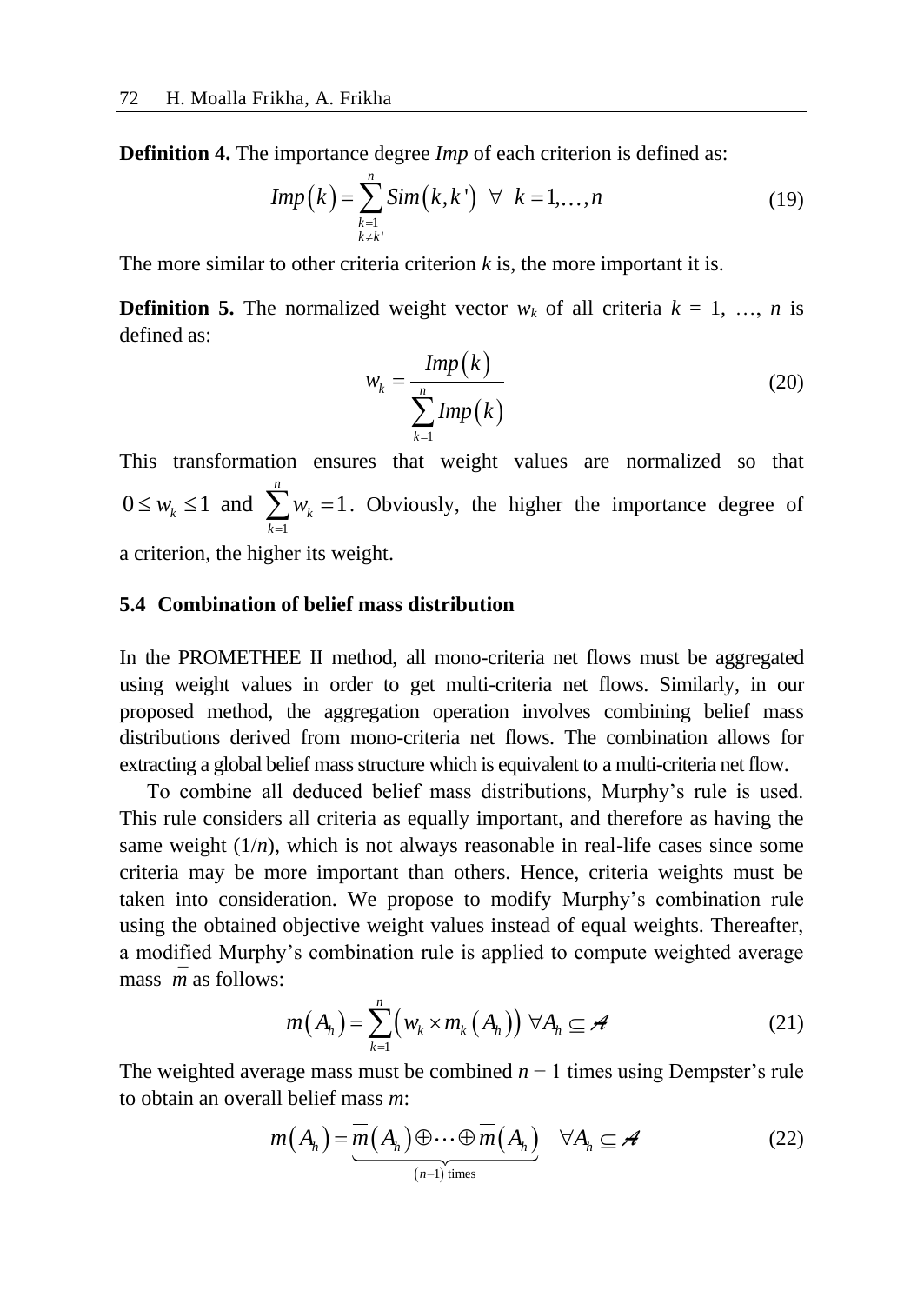**Definition 4.** The importance degree *Imp* of each criterion is defined as:

$$
Imp(k) = \sum_{\substack{k=1 \ k \neq k'}}^{n} Sim(k, k') \quad \forall \quad k = 1, \dots, n
$$
 (19)

The more similar to other criteria criterion *k* is, the more important it is.

**Definition 5.** The normalized weight vector  $w_k$  of all criteria  $k = 1, ..., n$  is defined as:

$$
w_k = \frac{Imp(k)}{\sum_{k=1}^{n} Imp(k)} \tag{20}
$$

This transformation ensures that weight values are normalized so that 1  $0 \leq w_k \leq 1$  and  $\sum_{k=1}^{n} w_k = 1$  $V_k \leq 1$  and  $\sum_{k=1}^{k} W_k$  $w_k \leq 1$  and  $\sum_{k=1}^{n} w_k$  $\leq w_k \leq 1$  and  $\sum_{k=1}^{n} w_k = 1$ . Obviously, the higher the importance degree of

a criterion, the higher its weight.

#### **5.4 Combination of belief mass distribution**

In the PROMETHEE II method, all mono-criteria net flows must be aggregated using weight values in order to get multi-criteria net flows. Similarly, in our proposed method, the aggregation operation involves combining belief mass distributions derived from mono-criteria net flows. The combination allows for extracting a global belief mass structure which is equivalent to a multi-criteria net flow.

To combine all deduced belief mass distributions, Murphy's rule is used. This rule considers all criteria as equally important, and therefore as having the same weight  $(1/n)$ , which is not always reasonable in real-life cases since some criteria may be more important than others. Hence, criteria weights must be taken into consideration. We propose to modify Murphy's combination rule using the obtained objective weight values instead of equal weights. Thereafter, a modified Murphy's combination rule is applied to compute weighted average mass*m* as follows:

$$
\overline{m}(A_h) = \sum_{k=1}^{n} \left( w_k \times m_k (A_h) \right) \forall A_h \subseteq A
$$
 (21)

The weighted average mass must be combined *n* − 1 times using Dempster's rule to obtain an overall belief mass *m*:

to obtain an overall belief mass m:  
\n
$$
m(A_h) = \underbrace{\overline{m}(A_h) \oplus \cdots \oplus \overline{m}(A_h)}_{(n-1) \text{ times}} \quad \forall A_h \subseteq \mathcal{A}
$$
\n(22)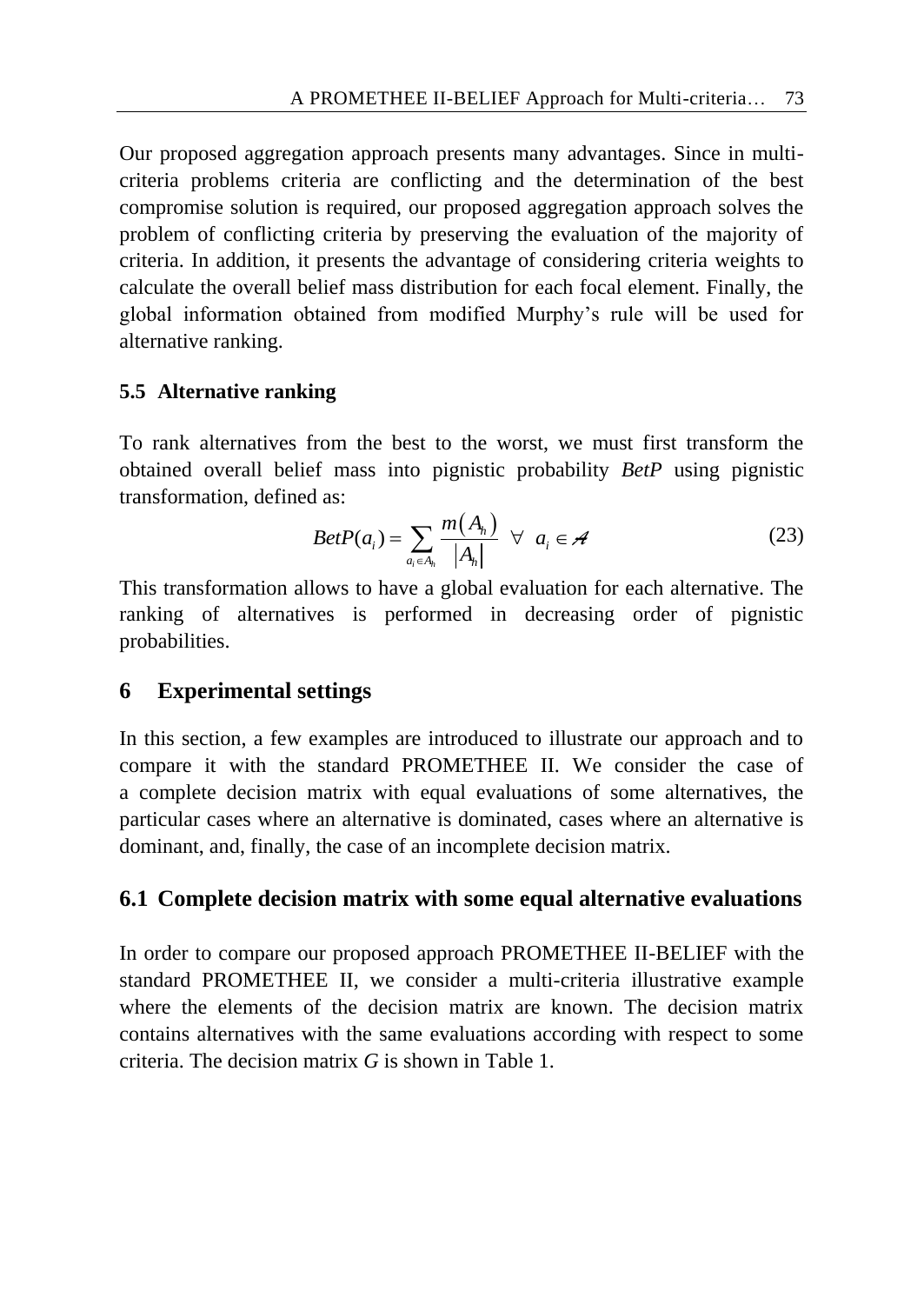Our proposed aggregation approach presents many advantages. Since in multicriteria problems criteria are conflicting and the determination of the best compromise solution is required, our proposed aggregation approach solves the problem of conflicting criteria by preserving the evaluation of the majority of criteria. In addition, it presents the advantage of considering criteria weights to calculate the overall belief mass distribution for each focal element. Finally, the global information obtained from modified Murphy's rule will be used for alternative ranking.

# **5.5 Alternative ranking**

To rank alternatives from the best to the worst, we must first transform the obtained overall belief mass into pignistic probability *BetP* using pignistic transformation, defined as:

d as:  
\n
$$
BetP(a_i) = \sum_{a_i \in A_h} \frac{m(A_h)}{|A_h|} \quad \forall \quad a_i \in \mathcal{A}
$$
\n(23)

This transformation allows to have a global evaluation for each alternative. The ranking of alternatives is performed in decreasing order of pignistic probabilities.

# **6 Experimental settings**

In this section, a few examples are introduced to illustrate our approach and to compare it with the standard PROMETHEE II. We consider the case of a complete decision matrix with equal evaluations of some alternatives, the particular cases where an alternative is dominated, cases where an alternative is dominant, and, finally, the case of an incomplete decision matrix.

# **6.1 Complete decision matrix with some equal alternative evaluations**

In order to compare our proposed approach PROMETHEE II-BELIEF with the standard PROMETHEE II, we consider a multi-criteria illustrative example where the elements of the decision matrix are known. The decision matrix contains alternatives with the same evaluations according with respect to some criteria. The decision matrix *G* is shown in Table 1.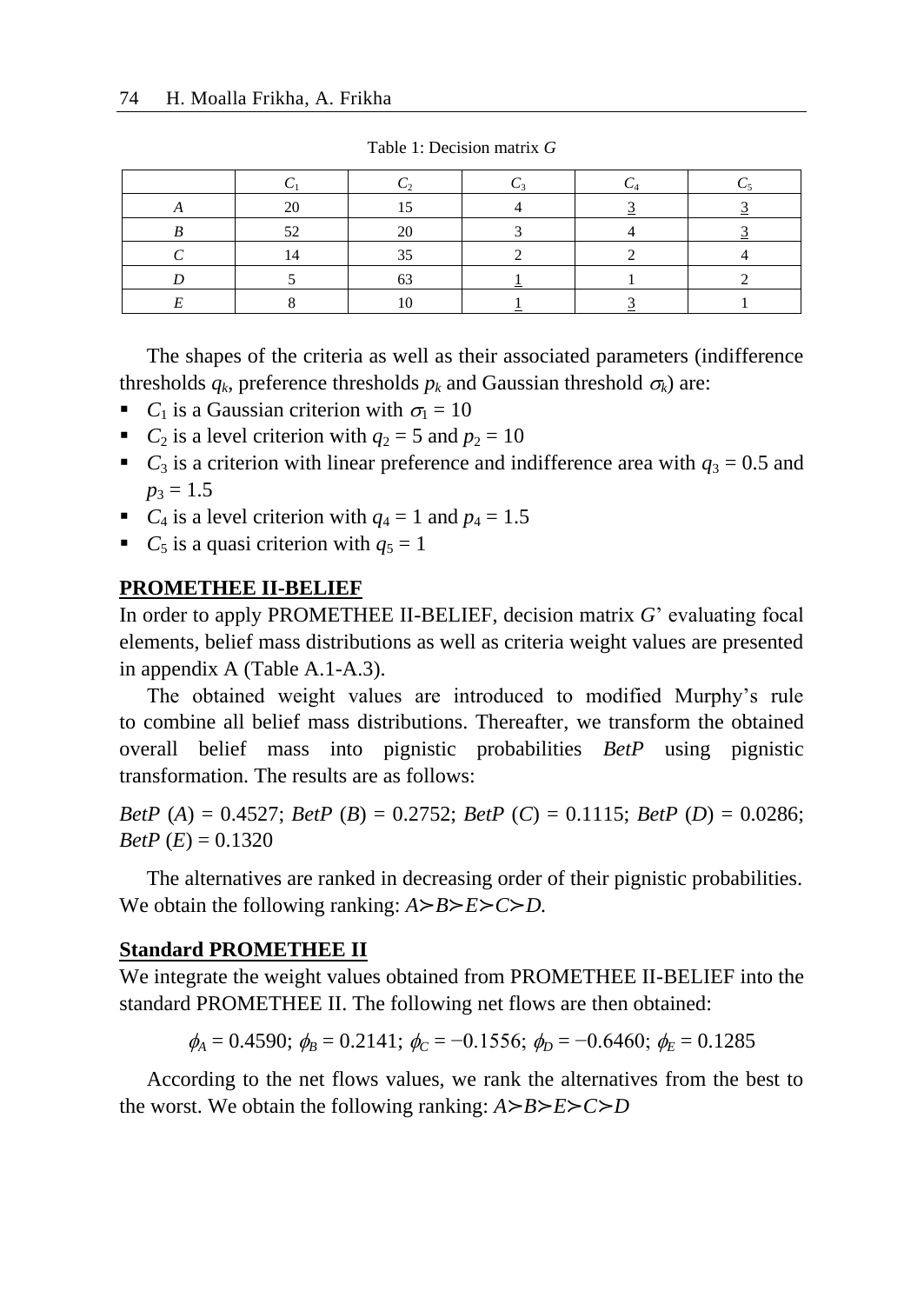Table 1: Decision matrix *G*

The shapes of the criteria as well as their associated parameters (indifference thresholds  $q_k$ , preference thresholds  $p_k$  and Gaussian threshold  $\sigma_k$ ) are:

- *C*<sub>1</sub> is a Gaussian criterion with  $\sigma_1 = 10$
- *C*<sub>2</sub> is a level criterion with  $q_2 = 5$  and  $p_2 = 10$
- *C*<sub>3</sub> is a criterion with linear preference and indifference area with  $q_3 = 0.5$  and  $p_3 = 1.5$
- *C*<sub>4</sub> is a level criterion with  $q_4 = 1$  and  $p_4 = 1.5$
- *C*<sub>5</sub> is a quasi criterion with  $q_5 = 1$

#### **PROMETHEE II-BELIEF**

In order to apply PROMETHEE II-BELIEF, decision matrix *G*' evaluating focal elements, belief mass distributions as well as criteria weight values are presented in appendix A (Table A.1-A.3).

The obtained weight values are introduced to modified Murphy's rule to combine all belief mass distributions. Thereafter, we transform the obtained overall belief mass into pignistic probabilities *BetP* using pignistic transformation. The results are as follows:

*BetP* (*A*) = 0.4527; *BetP* (*B*) = 0.2752; *BetP* (*C*) = 0.1115; *BetP* (*D*) = 0.0286; *BetP*  $(E) = 0.1320$ 

The alternatives are ranked in decreasing order of their pignistic probabilities. We obtain the following ranking: *A*≻*B*≻*E*≻*C*≻*D.*

#### **Standard PROMETHEE II**

We integrate the weight values obtained from PROMETHEE II-BELIEF into the standard PROMETHEE II. The following net flows are then obtained:

 $\phi_A = 0.4590$ ;  $\phi_B = 0.2141$ ;  $\phi_C = -0.1556$ ;  $\phi_D = -0.6460$ ;  $\phi_F = 0.1285$ 

According to the net flows values, we rank the alternatives from the best to the worst. We obtain the following ranking: *A*≻*B*≻*E*≻*C*≻*D*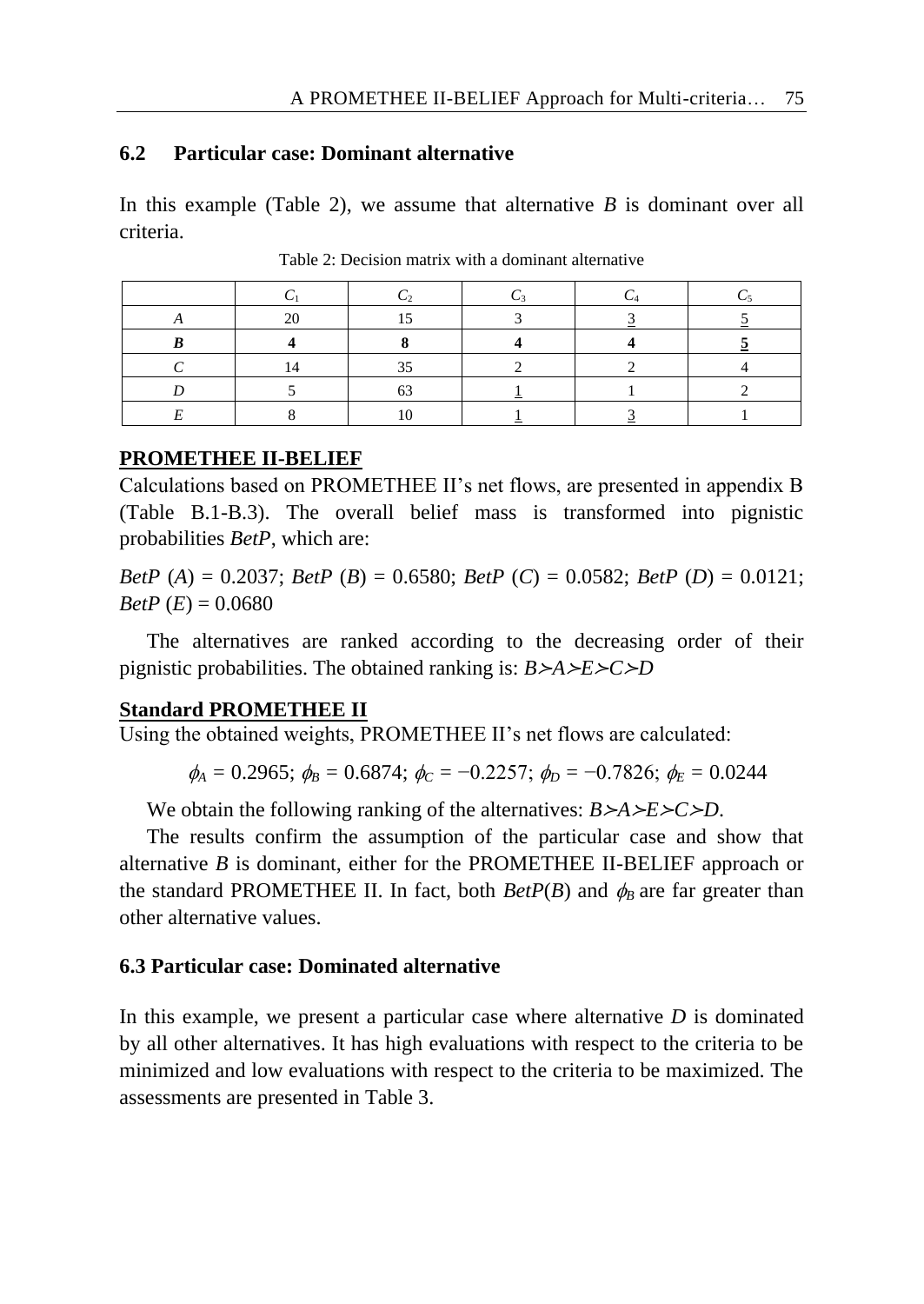### **6.2 Particular case: Dominant alternative**

In this example (Table 2), we assume that alternative *B* is dominant over all criteria.

Table 2: Decision matrix with a dominant alternative

### **PROMETHEE II-BELIEF**

Calculations based on PROMETHEE II's net flows, are presented in appendix B (Table B.1-B.3). The overall belief mass is transformed into pignistic probabilities *BetP*, which are:

*BetP* (*A*) = 0.2037; *BetP* (*B*) = 0.6580; *BetP* (*C*) = 0.0582; *BetP* (*D*) = 0.0121; *BetP*  $(E) = 0.0680$ 

The alternatives are ranked according to the decreasing order of their pignistic probabilities. The obtained ranking is: *B*≻*A*≻*E*≻*C*≻*D*

### **Standard PROMETHEE II**

Using the obtained weights, PROMETHEE II's net flows are calculated:

 $\phi_A = 0.2965$ ;  $\phi_B = 0.6874$ ;  $\phi_C = -0.2257$ ;  $\phi_D = -0.7826$ ;  $\phi_E = 0.0244$ 

We obtain the following ranking of the alternatives: *B*≻*A*≻*E*≻*C*≻*D*.

The results confirm the assumption of the particular case and show that alternative *B* is dominant, either for the PROMETHEE II-BELIEF approach or the standard PROMETHEE II. In fact, both  $BetP(B)$  and  $\phi_B$  are far greater than other alternative values.

## **6.3 Particular case: Dominated alternative**

In this example, we present a particular case where alternative *D* is dominated by all other alternatives. It has high evaluations with respect to the criteria to be minimized and low evaluations with respect to the criteria to be maximized. The assessments are presented in Table 3.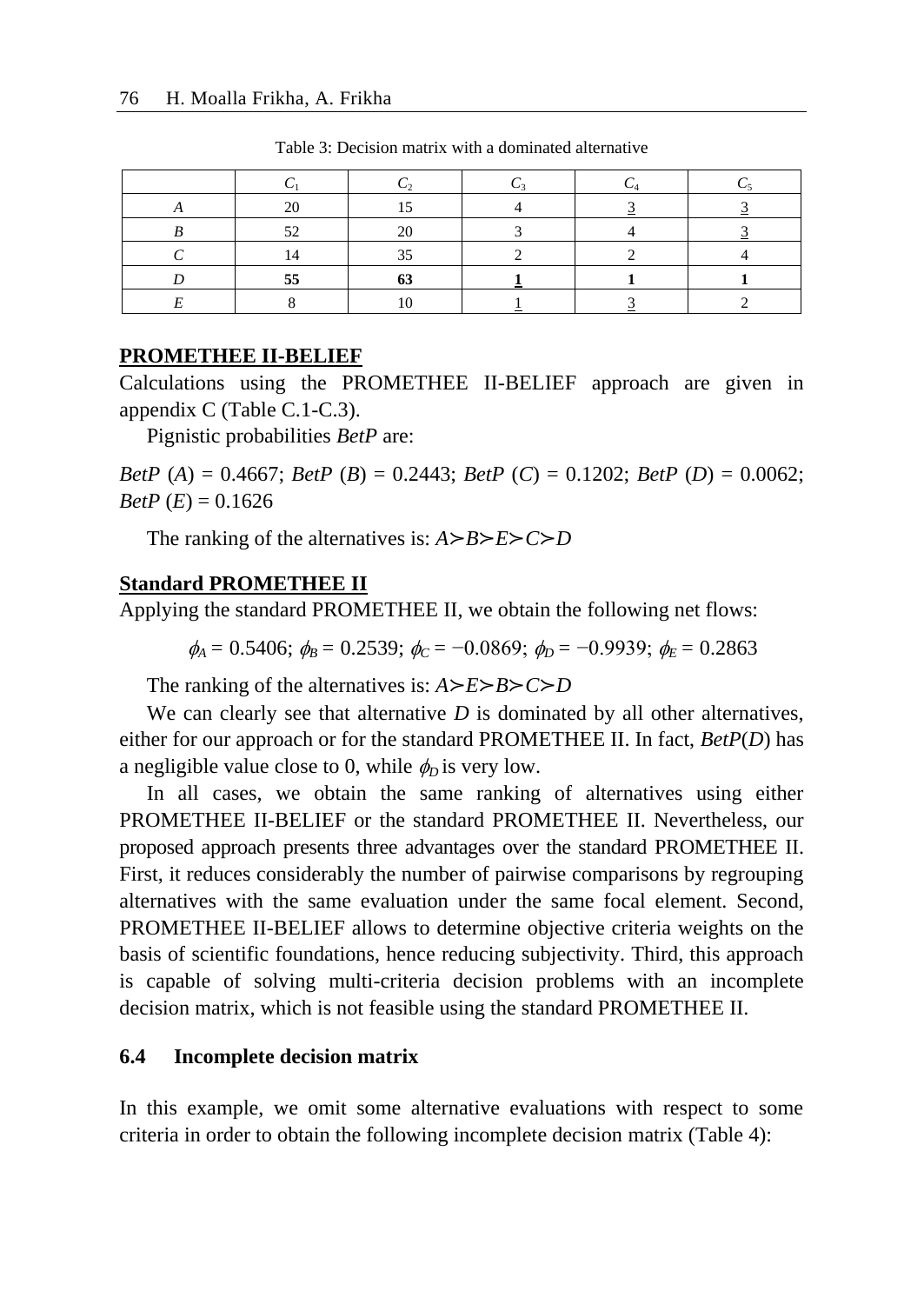| 2C |           |  |  |
|----|-----------|--|--|
|    |           |  |  |
|    | 35        |  |  |
| 55 | - -<br>v. |  |  |
|    |           |  |  |

Table 3: Decision matrix with a dominated alternative

### **PROMETHEE II-BELIEF**

Calculations using the PROMETHEE II-BELIEF approach are given in appendix C (Table C.1-C.3).

Pignistic probabilities *BetP* are:

*BetP* (*A*) = 0.4667; *BetP* (*B*) = 0.2443; *BetP* (*C*) = 0.1202; *BetP* (*D*) = 0.0062; *BetP*  $(E) = 0.1626$ 

The ranking of the alternatives is: *A*≻*B*≻*E*≻*C*≻*D*

### **Standard PROMETHEE II**

Applying the standard PROMETHEE II, we obtain the following net flows:

$$
\phi_A = 0.5406
$$
;  $\phi_B = 0.2539$ ;  $\phi_C = -0.0869$ ;  $\phi_D = -0.9939$ ;  $\phi_E = 0.2863$ 

The ranking of the alternatives is: *A*≻*E*≻*B*≻*C*≻*D*

We can clearly see that alternative *D* is dominated by all other alternatives, either for our approach or for the standard PROMETHEE II. In fact, *BetP*(*D*) has a negligible value close to 0, while  $\phi$ <sub>*o*</sub> is very low.

In all cases, we obtain the same ranking of alternatives using either PROMETHEE II-BELIEF or the standard PROMETHEE II. Nevertheless, our proposed approach presents three advantages over the standard PROMETHEE II. First, it reduces considerably the number of pairwise comparisons by regrouping alternatives with the same evaluation under the same focal element. Second, PROMETHEE II-BELIEF allows to determine objective criteria weights on the basis of scientific foundations, hence reducing subjectivity. Third, this approach is capable of solving multi-criteria decision problems with an incomplete decision matrix, which is not feasible using the standard PROMETHEE II.

### **6.4 Incomplete decision matrix**

In this example, we omit some alternative evaluations with respect to some criteria in order to obtain the following incomplete decision matrix (Table 4):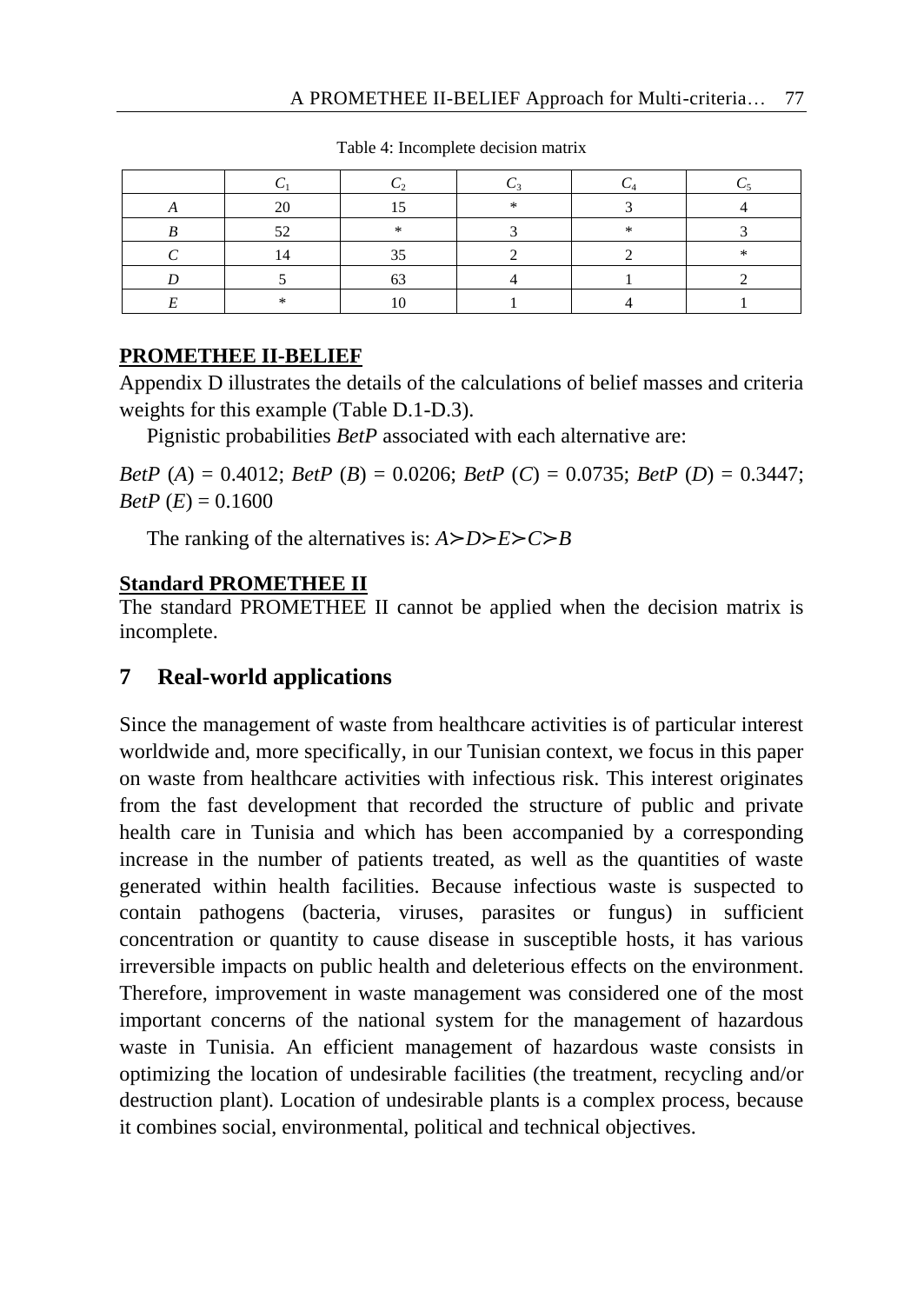|  | -14 |  |
|--|-----|--|
|  |     |  |
|  |     |  |
|  |     |  |
|  |     |  |

Table 4: Incomplete decision matrix

## **PROMETHEE II-BELIEF**

Appendix D illustrates the details of the calculations of belief masses and criteria weights for this example (Table D.1-D.3).

Pignistic probabilities *BetP* associated with each alternative are:

*BetP* (*A*) = 0.4012; *BetP* (*B*) = 0.0206; *BetP* (*C*) = 0.0735; *BetP* (*D*) = 0.3447; *BetP*  $(E) = 0.1600$ 

The ranking of the alternatives is: *A*≻*D*≻*E*≻*C*≻*B*

# **Standard PROMETHEE II**

The standard PROMETHEE II cannot be applied when the decision matrix is incomplete.

# **7 Real-world applications**

Since the management of waste from healthcare activities is of particular interest worldwide and, more specifically, in our Tunisian context, we focus in this paper on waste from healthcare activities with infectious risk. This interest originates from the fast development that recorded the structure of public and private health care in Tunisia and which has been accompanied by a corresponding increase in the number of patients treated, as well as the quantities of waste generated within health facilities. Because infectious waste is suspected to contain pathogens (bacteria, viruses, parasites or fungus) in sufficient concentration or quantity to cause disease in susceptible hosts, it has various irreversible impacts on public health and deleterious effects on the environment. Therefore, improvement in waste management was considered one of the most important concerns of the national system for the management of hazardous waste in Tunisia. An efficient management of hazardous waste consists in optimizing the location of undesirable facilities (the treatment, recycling and/or destruction plant). Location of undesirable plants is a complex process, because it combines social, environmental, political and technical objectives.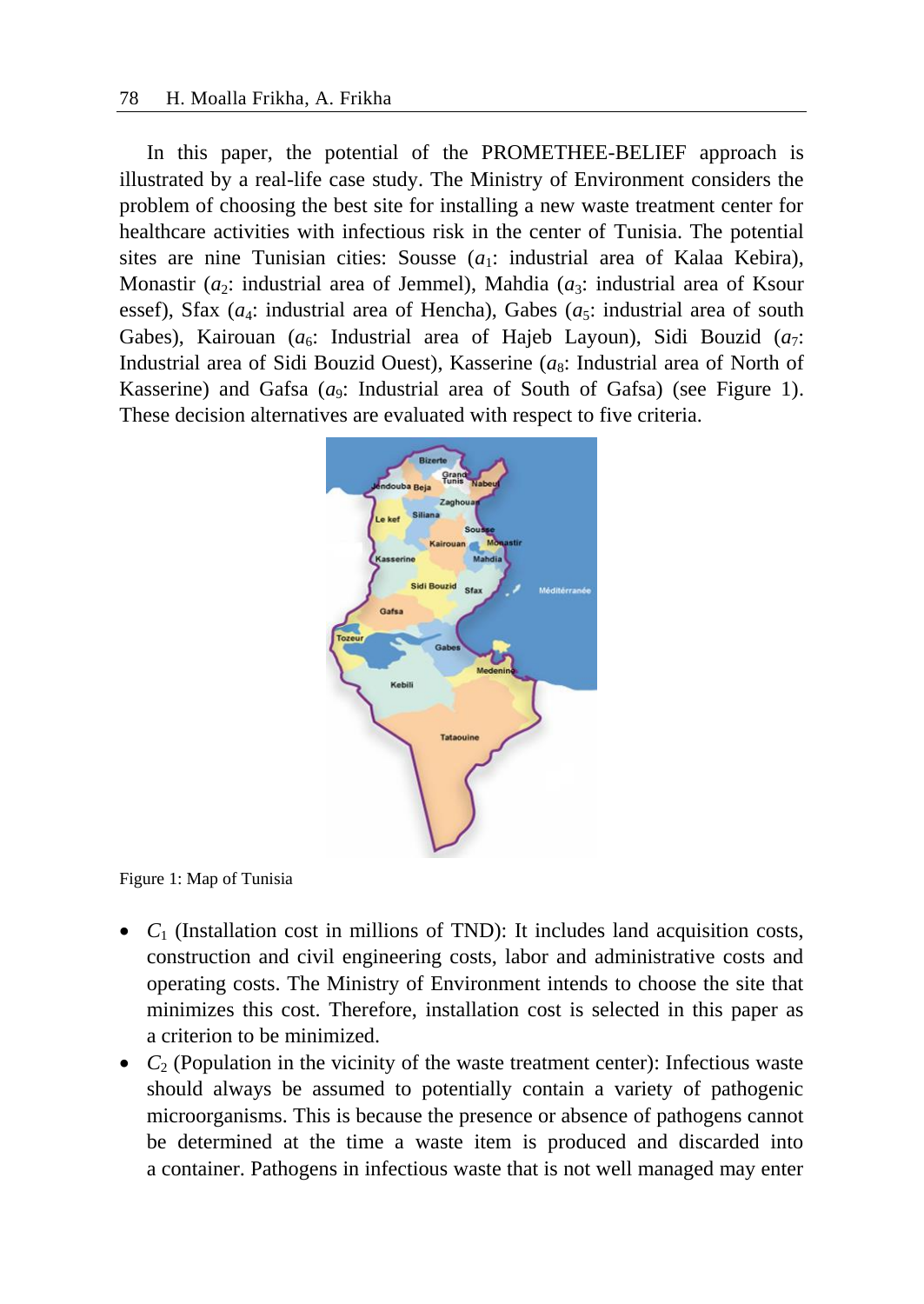In this paper, the potential of the PROMETHEE-BELIEF approach is illustrated by a real-life case study. The Ministry of Environment considers the problem of choosing the best site for installing a new waste treatment center for healthcare activities with infectious risk in the center of Tunisia. The potential sites are nine Tunisian cities: Sousse  $(a_1:$  industrial area of Kalaa Kebira), Monastir  $(a_2)$ : industrial area of Jemmel), Mahdia  $(a_3)$ : industrial area of Ksour essef), Sfax  $(a_4)$ : industrial area of Hencha), Gabes  $(a_5)$ : industrial area of south Gabes), Kairouan ( $a_6$ : Industrial area of Hajeb Layoun), Sidi Bouzid ( $a_7$ : Industrial area of Sidi Bouzid Ouest), Kasserine (*a*<sub>8</sub>: Industrial area of North of Kasserine) and Gafsa  $(a_9)$ : Industrial area of South of Gafsa) (see Figure 1). These decision alternatives are evaluated with respect to five criteria.



Figure 1: Map of Tunisia

- $C_1$  (Installation cost in millions of TND): It includes land acquisition costs, construction and civil engineering costs, labor and administrative costs and operating costs. The Ministry of Environment intends to choose the site that minimizes this cost. Therefore, installation cost is selected in this paper as a criterion to be minimized.
- $C_2$  (Population in the vicinity of the waste treatment center): Infectious waste should always be assumed to potentially contain a variety of pathogenic microorganisms. This is because the presence or absence of pathogens cannot be determined at the time a waste item is produced and discarded into a container. Pathogens in infectious waste that is not well managed may enter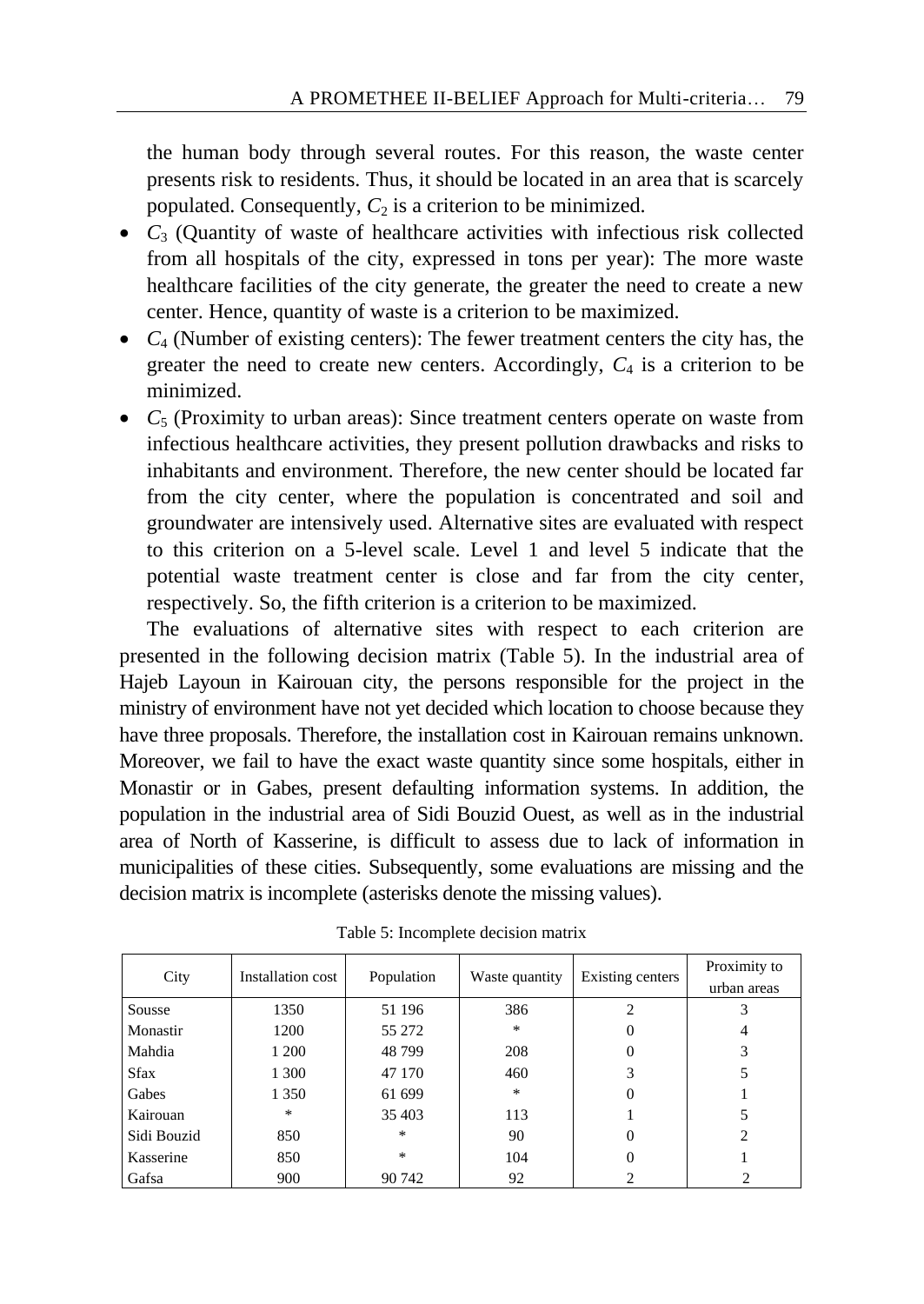the human body through several routes. For this reason, the waste center presents risk to residents. Thus, it should be located in an area that is scarcely populated. Consequently,  $C_2$  is a criterion to be minimized.

- $C_3$  (Quantity of waste of healthcare activities with infectious risk collected from all hospitals of the city, expressed in tons per year): The more waste healthcare facilities of the city generate, the greater the need to create a new center. Hence, quantity of waste is a criterion to be maximized.
- $C_4$  (Number of existing centers): The fewer treatment centers the city has, the greater the need to create new centers. Accordingly,  $C_4$  is a criterion to be minimized.
- $C_5$  (Proximity to urban areas): Since treatment centers operate on waste from infectious healthcare activities, they present pollution drawbacks and risks to inhabitants and environment. Therefore, the new center should be located far from the city center, where the population is concentrated and soil and groundwater are intensively used. Alternative sites are evaluated with respect to this criterion on a 5-level scale. Level 1 and level 5 indicate that the potential waste treatment center is close and far from the city center, respectively. So, the fifth criterion is a criterion to be maximized.

The evaluations of alternative sites with respect to each criterion are presented in the following decision matrix (Table 5). In the industrial area of Hajeb Layoun in Kairouan city, the persons responsible for the project in the ministry of environment have not yet decided which location to choose because they have three proposals. Therefore, the installation cost in Kairouan remains unknown. Moreover, we fail to have the exact waste quantity since some hospitals, either in Monastir or in Gabes, present defaulting information systems. In addition, the population in the industrial area of Sidi Bouzid Ouest, as well as in the industrial area of North of Kasserine, is difficult to assess due to lack of information in municipalities of these cities. Subsequently, some evaluations are missing and the decision matrix is incomplete (asterisks denote the missing values).

| City        | Installation cost | Population    | Waste quantity | Existing centers | Proximity to<br>urban areas |
|-------------|-------------------|---------------|----------------|------------------|-----------------------------|
| Sousse      | 1350              | 51 196        | 386            | $\overline{c}$   |                             |
| Monastir    | 1200              | 55 272        | $\frac{1}{2}$  | 0                |                             |
| Mahdia      | 1 200             | 48799         | 208            | 0                | 3                           |
| <b>Sfax</b> | 1 300             | 47 170        | 460            | 3                | 5                           |
| Gabes       | 1 3 5 0           | 61 699        | *              | 0                |                             |
| Kairouan    | $\ast$            | 35 403        | 113            |                  |                             |
| Sidi Bouzid | 850               | $\frac{1}{2}$ | 90             | 0                | $\overline{2}$              |
| Kasserine   | 850               | $\frac{1}{2}$ | 104            | 0                |                             |
| Gafsa       | 900               | 90 742        | 92             |                  |                             |

|  | Table 5: Incomplete decision matrix |  |  |
|--|-------------------------------------|--|--|
|--|-------------------------------------|--|--|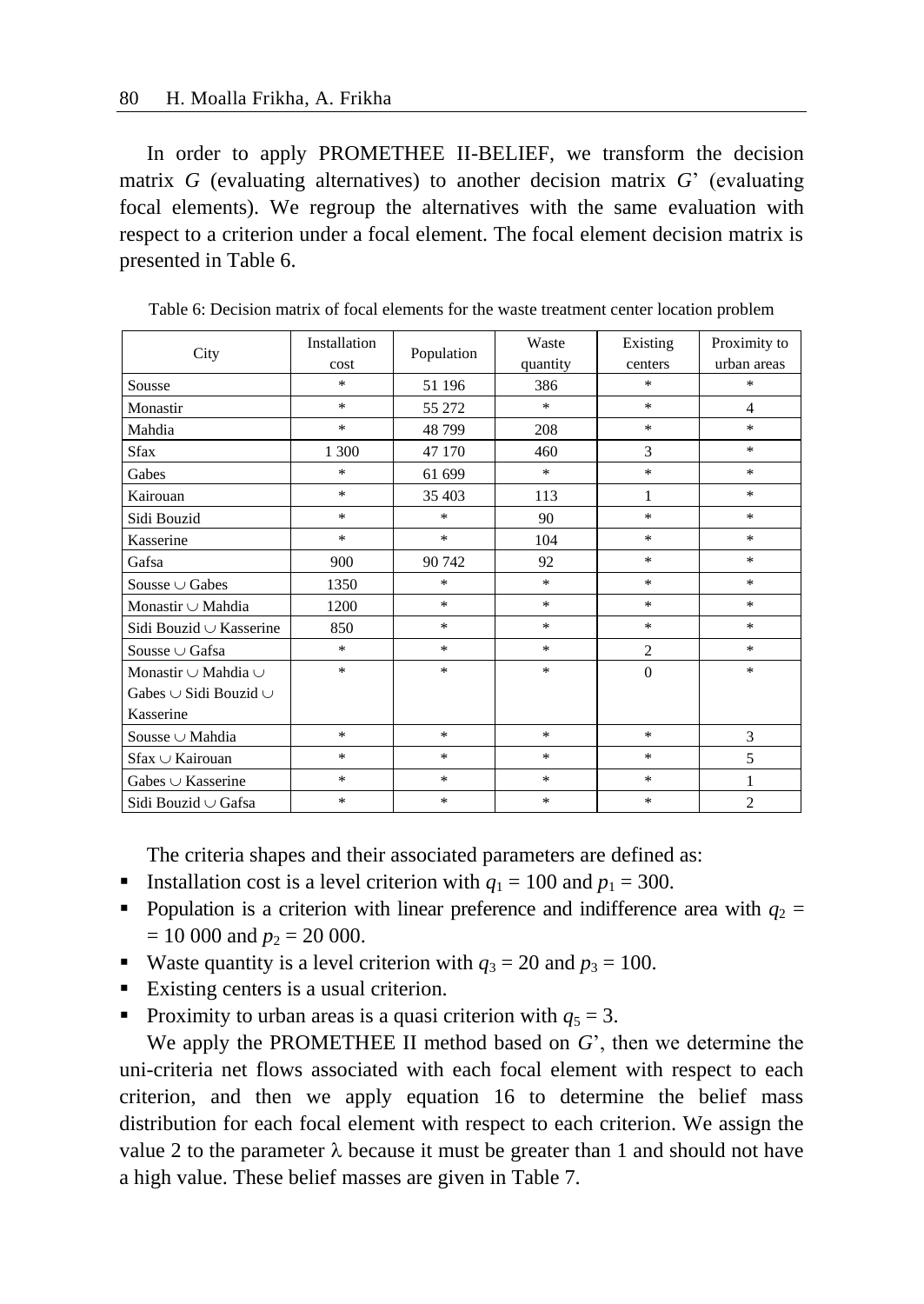In order to apply PROMETHEE II-BELIEF, we transform the decision matrix *G* (evaluating alternatives) to another decision matrix *G*' (evaluating focal elements). We regroup the alternatives with the same evaluation with respect to a criterion under a focal element. The focal element decision matrix is presented in Table 6.

| City                            | Installation                      | Population    | Waste         | Existing       | Proximity to   |
|---------------------------------|-----------------------------------|---------------|---------------|----------------|----------------|
|                                 | cost                              |               | quantity      | centers        | urban areas    |
| Sousse                          | $\frac{d\mathbf{r}}{d\mathbf{r}}$ | 51 196        | 386           | $\ast$         | $\ast$         |
| Monastir                        | $\frac{d\mathbf{x}}{d\mathbf{x}}$ | 55 272        | $\ast$        | $\frac{1}{2}$  | $\overline{4}$ |
| Mahdia                          | $\frac{1}{2}$                     | 48799         | 208           | $\ast$         | $\ast$         |
| <b>Sfax</b>                     | 1 300                             | 47 170        | 460           | 3              | $\ast$         |
| Gabes                           | $\frac{d\mathbf{x}}{d\mathbf{x}}$ | 61 699        | $\ast$        | $\ast$         | $\ast$         |
| Kairouan                        | $\frac{d\mathbf{x}}{d\mathbf{x}}$ | 35 403        | 113           | 1              | $\ast$         |
| Sidi Bouzid                     | $\frac{d\mathbf{x}}{d\mathbf{x}}$ | $\ast$        | 90            | $\ast$         | $\ast$         |
| Kasserine                       | *                                 | $\frac{1}{2}$ | 104           | $\ast$         | $\ast$         |
| Gafsa                           | 900                               | 90 742        | 92            | $\ast$         | $\ast$         |
| Sousse $\cup$ Gabes             | 1350                              | $\ast$        | $\ast$        | $\ast$         | $\ast$         |
| Monastir $\cup$ Mahdia          | 1200                              | $\ast$        | $\ast$        | $\ast$         | $\ast$         |
| Sidi Bouzid $\cup$ Kasserine    | 850                               | $\ast$        | $\frac{1}{2}$ | $\ast$         | $\ast$         |
| Sousse $\cup$ Gafsa             | $\frac{1}{2}$                     | $\ast$        | $\ast$        | $\overline{c}$ | $\ast$         |
| Monastir $\cup$ Mahdia $\cup$   | $\frac{1}{2}$                     | $\ast$        | $\ast$        | $\mathbf{0}$   | $\ast$         |
| Gabes $\cup$ Sidi Bouzid $\cup$ |                                   |               |               |                |                |
| Kasserine                       |                                   |               |               |                |                |
| Sousse $\cup$ Mahdia            | $\frac{1}{2}$                     | $\ast$        | $\ast$        | $\ast$         | 3              |
| $S$ fax $\cup$ Kairouan         | $\frac{1}{2}$                     | $\ast$        | $\frac{1}{2}$ | $\ast$         | 5              |
| Gabes $\cup$ Kasserine          | $\frac{1}{2}$                     | $\ast$        | $\frac{1}{2}$ | $\ast$         | 1              |
| Sidi Bouzid ∪ Gafsa             | $\frac{1}{2}$                     | $\ast$        | $*$           | $\ast$         | $\overline{c}$ |

Table 6: Decision matrix of focal elements for the waste treatment center location problem

The criteria shapes and their associated parameters are defined as:

- Installation cost is a level criterion with  $q_1 = 100$  and  $p_1 = 300$ .
- Population is a criterion with linear preference and indifference area with  $q_2$  =  $= 10 000$  and  $p_2 = 20 000$ .
- Waste quantity is a level criterion with  $q_3 = 20$  and  $p_3 = 100$ .
- Existing centers is a usual criterion.
- Proximity to urban areas is a quasi criterion with  $q_5 = 3$ .

We apply the PROMETHEE II method based on *G*', then we determine the uni-criteria net flows associated with each focal element with respect to each criterion, and then we apply equation 16 to determine the belief mass distribution for each focal element with respect to each criterion. We assign the value 2 to the parameter  $\lambda$  because it must be greater than 1 and should not have a high value. These belief masses are given in Table 7.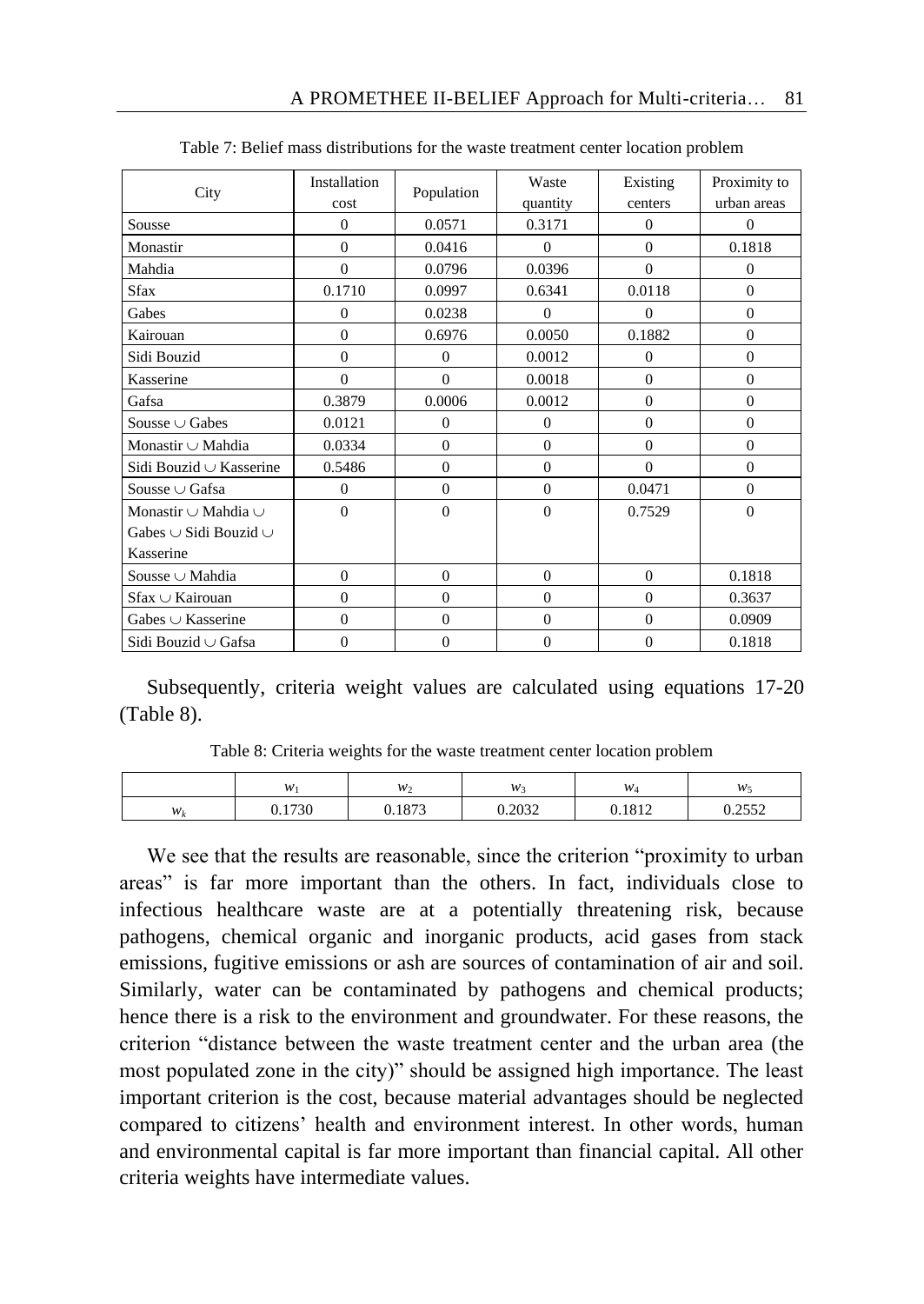| City                          | <b>Installation</b> | Population     | Waste        | Existing       | Proximity to   |
|-------------------------------|---------------------|----------------|--------------|----------------|----------------|
|                               | cost                |                | quantity     | centers        | urban areas    |
| Sousse                        | $\Omega$            | 0.0571         | 0.3171       | $\Omega$       | $\Omega$       |
| Monastir                      | $\Omega$            | 0.0416         | $\Omega$     | $\theta$       | 0.1818         |
| Mahdia                        | $\overline{0}$      | 0.0796         | 0.0396       | $\theta$       | $\mathbf{0}$   |
| <b>Sfax</b>                   | 0.1710              | 0.0997         | 0.6341       | 0.0118         | $\theta$       |
| Gabes                         | $\overline{0}$      | 0.0238         | $\Omega$     | $\Omega$       | $\Omega$       |
| Kairouan                      | $\Omega$            | 0.6976         | 0.0050       | 0.1882         | $\Omega$       |
| Sidi Bouzid                   | $\overline{0}$      | $\mathbf{0}$   | 0.0012       | $\overline{0}$ | $\mathbf{0}$   |
| Kasserine                     | $\Omega$            | $\Omega$       | 0.0018       | $\mathbf{0}$   | $\Omega$       |
| Gafsa                         | 0.3879              | 0.0006         | 0.0012       | $\theta$       | $\theta$       |
| Sousse $\cup$ Gabes           | 0.0121              | $\theta$       | $\Omega$     | $\overline{0}$ | $\Omega$       |
| Monastir $\cup$ Mahdia        | 0.0334              | $\mathbf{0}$   | $\mathbf{0}$ | $\overline{0}$ | $\overline{0}$ |
| Sidi Bouzid ∪ Kasserine       | 0.5486              | $\mathbf{0}$   | $\mathbf{0}$ | $\overline{0}$ | $\Omega$       |
| Sousse $\cup$ Gafsa           | $\overline{0}$      | $\overline{0}$ | $\Omega$     | 0.0471         | $\theta$       |
| Monastir $\cup$ Mahdia $\cup$ | $\overline{0}$      | $\overline{0}$ | $\mathbf{0}$ | 0.7529         | $\mathbf{0}$   |
| Gabes∪Sidi Bouzid∪            |                     |                |              |                |                |
| Kasserine                     |                     |                |              |                |                |
| Sousse $\cup$ Mahdia          | $\Omega$            | $\Omega$       | $\Omega$     | $\Omega$       | 0.1818         |
| Sfax ∪ Kairouan               | $\Omega$            | $\Omega$       | $\Omega$     | $\Omega$       | 0.3637         |
| Gabes $\cup$ Kasserine        | $\Omega$            | $\Omega$       | $\Omega$     | $\mathbf{0}$   | 0.0909         |
| Sidi Bouzid ∪ Gafsa           | $\overline{0}$      | $\mathbf{0}$   | $\mathbf{0}$ | $\overline{0}$ | 0.1818         |

| Table 7: Belief mass distributions for the waste treatment center location problem |
|------------------------------------------------------------------------------------|
|------------------------------------------------------------------------------------|

Subsequently, criteria weight values are calculated using equations 17-20 (Table 8).

Table 8: Criteria weights for the waste treatment center location problem

|       | w      | $W_2$  | w.     | $W_4$  | w                        |
|-------|--------|--------|--------|--------|--------------------------|
| $W_k$ | J.1730 | 0.1873 | 0.2032 | 0.1812 | 0.2552<br>0. <i>ljj2</i> |

We see that the results are reasonable, since the criterion "proximity to urban areas" is far more important than the others. In fact, individuals close to infectious healthcare waste are at a potentially threatening risk, because pathogens, chemical organic and inorganic products, acid gases from stack emissions, fugitive emissions or ash are sources of contamination of air and soil. Similarly, water can be contaminated by pathogens and chemical products; hence there is a risk to the environment and groundwater. For these reasons, the criterion "distance between the waste treatment center and the urban area (the most populated zone in the city)" should be assigned high importance. The least important criterion is the cost, because material advantages should be neglected compared to citizens' health and environment interest. In other words, human and environmental capital is far more important than financial capital. All other criteria weights have intermediate values.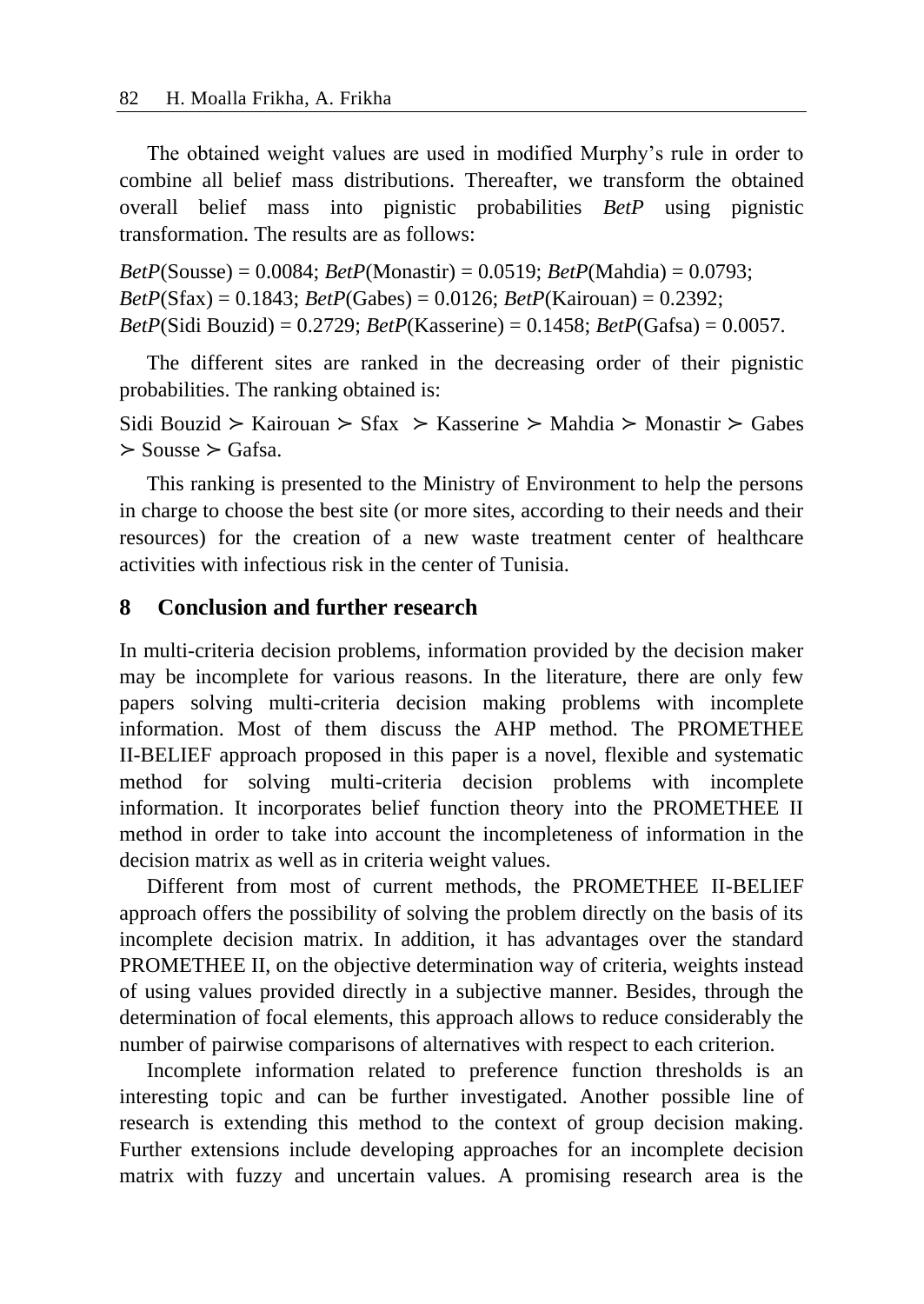The obtained weight values are used in modified Murphy's rule in order to combine all belief mass distributions. Thereafter, we transform the obtained overall belief mass into pignistic probabilities *BetP* using pignistic transformation. The results are as follows:

*BetP*(Sousse) = 0.0084; *BetP*(Monastir) = 0.0519; *BetP*(Mahdia) = 0.0793; *BetP*(Sfax) = 0.1843; *BetP*(Gabes) = 0.0126; *BetP*(Kairouan) = 0.2392; *BetP*(Sidi Bouzid) = 0.2729; *BetP*(Kasserine) = 0.1458; *BetP*(Gafsa) = 0.0057.

The different sites are ranked in the decreasing order of their pignistic probabilities. The ranking obtained is:

Sidi Bouzid ≻ Kairouan ≻ Sfax ≻ Kasserine ≻ Mahdia ≻ Monastir ≻ Gabes ≻ Sousse ≻ Gafsa.

This ranking is presented to the Ministry of Environment to help the persons in charge to choose the best site (or more sites, according to their needs and their resources) for the creation of a new waste treatment center of healthcare activities with infectious risk in the center of Tunisia.

### **8 Conclusion and further research**

In multi-criteria decision problems, information provided by the decision maker may be incomplete for various reasons. In the literature, there are only few papers solving multi-criteria decision making problems with incomplete information. Most of them discuss the AHP method. The PROMETHEE II-BELIEF approach proposed in this paper is a novel, flexible and systematic method for solving multi-criteria decision problems with incomplete information. It incorporates belief function theory into the PROMETHEE II method in order to take into account the incompleteness of information in the decision matrix as well as in criteria weight values.

Different from most of current methods, the PROMETHEE II-BELIEF approach offers the possibility of solving the problem directly on the basis of its incomplete decision matrix. In addition, it has advantages over the standard PROMETHEE II, on the objective determination way of criteria, weights instead of using values provided directly in a subjective manner. Besides, through the determination of focal elements, this approach allows to reduce considerably the number of pairwise comparisons of alternatives with respect to each criterion.

Incomplete information related to preference function thresholds is an interesting topic and can be further investigated. Another possible line of research is extending this method to the context of group decision making. Further extensions include developing approaches for an incomplete decision matrix with fuzzy and uncertain values. A promising research area is the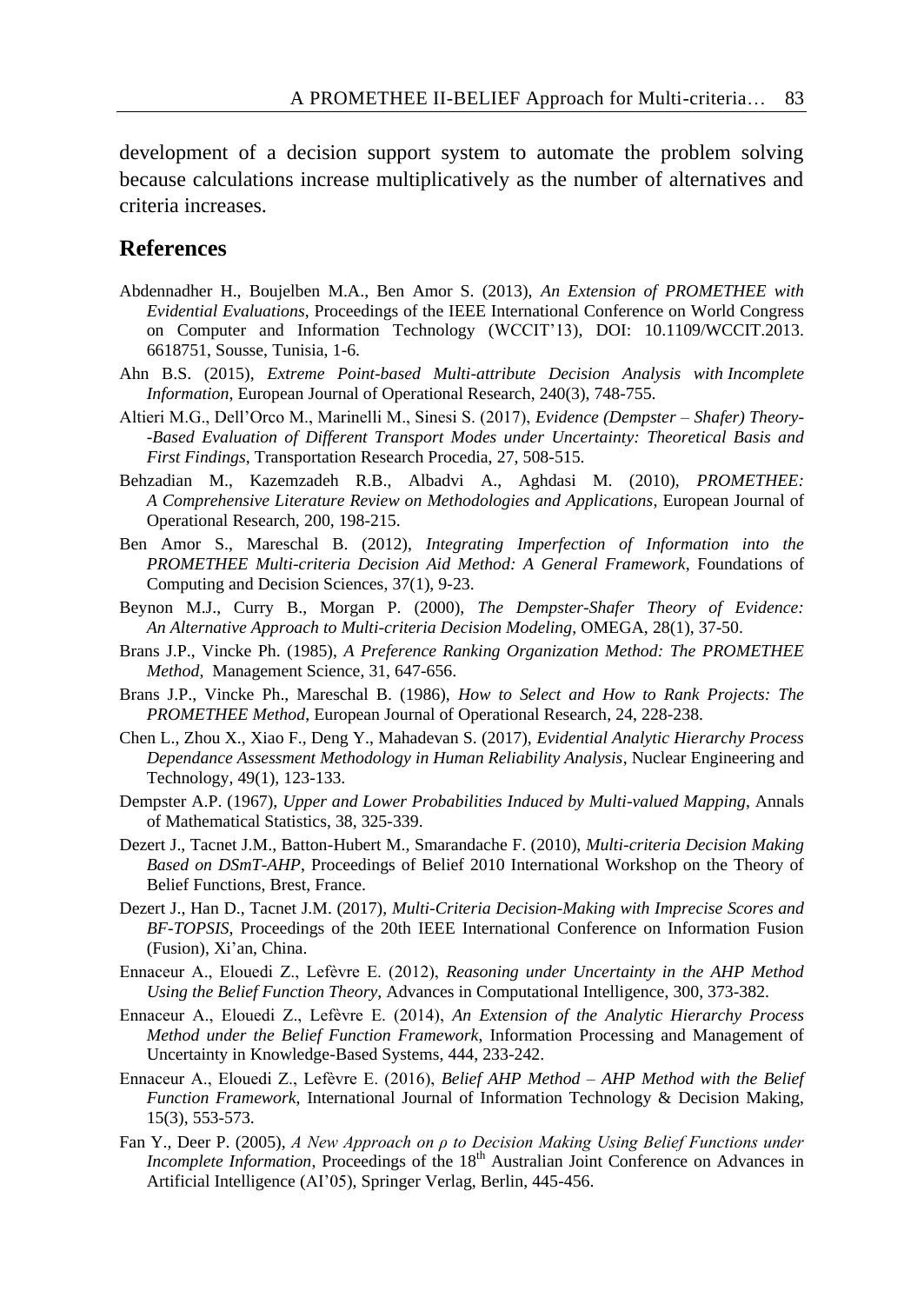development of a decision support system to automate the problem solving because calculations increase multiplicatively as the number of alternatives and criteria increases.

### **References**

- Abdennadher H., Boujelben M.A., Ben Amor S. (2013), *An Extension of PROMETHEE with Evidential Evaluations*, Proceedings of the IEEE International Conference on World Congress on Computer and Information Technology (WCCIT'13), DOI: 10.1109/WCCIT.2013. 6618751, Sousse, Tunisia, 1-6.
- Ahn B.S. (2015), *Extreme Point-based Multi-attribute Decision Analysis with Incomplete Information*, European Journal of Operational Research, 240(3), 748-755.
- Altieri M.G., Dell'Orco M., Marinelli M., Sinesi S. (2017), *Evidence (Dempster – Shafer) Theory- -Based Evaluation of Different Transport Modes under Uncertainty: Theoretical Basis and First Findings*, Transportation Research Procedia, 27, 508-515.
- Behzadian M., Kazemzadeh R.B., Albadvi A., Aghdasi M. (2010), *PROMETHEE: A Comprehensive Literature Review on Methodologies and Applications*, European Journal of Operational Research, 200, 198-215.
- Ben Amor S., Mareschal B. (2012), *Integrating Imperfection of Information into the PROMETHEE Multi-criteria Decision Aid Method: A General Framework*, Foundations of Computing and Decision Sciences, 37(1), 9-23.
- Beynon M.J., Curry B., Morgan P. (2000), *The Dempster-Shafer Theory of Evidence: An Alternative Approach to Multi-criteria Decision Modeling*, OMEGA, 28(1), 37-50.
- Brans J.P., Vincke Ph. (1985), *A Preference Ranking Organization Method: The PROMETHEE Method*, Management Science, 31, 647-656.
- Brans J.P., Vincke Ph., Mareschal B. (1986), *How to Select and How to Rank Projects: The PROMETHEE Method*, European Journal of Operational Research, 24, 228-238.
- Chen L., Zhou X., Xiao F., Deng Y., Mahadevan S. (2017), *Evidential Analytic Hierarchy Process Dependance Assessment Methodology in Human Reliability Analysis*, Nuclear Engineering and Technology, 49(1), 123-133.
- Dempster A.P. (1967), *Upper and Lower Probabilities Induced by Multi-valued Mapping*, Annals of Mathematical Statistics, 38, 325-339.
- Dezert J., Tacnet J.M., Batton-Hubert M., Smarandache F. (2010), *Multi-criteria Decision Making Based on DSmT-AHP*, Proceedings of Belief 2010 International Workshop on the Theory of Belief Functions, Brest, France.
- Dezert J., Han D., Tacnet J.M. (2017), *Multi-Criteria Decision-Making with Imprecise Scores and BF-TOPSIS*, Proceedings of the 20th IEEE International Conference on Information Fusion (Fusion), Xi'an, China.
- Ennaceur A., Elouedi Z., Lefèvre E. (2012), *Reasoning under Uncertainty in the AHP Method Using the Belief Function Theory*, Advances in Computational Intelligence, 300, 373-382.
- Ennaceur A., Elouedi Z., Lefèvre E. (2014), *An Extension of the Analytic Hierarchy Process Method under the Belief Function Framework*, Information Processing and Management of Uncertainty in Knowledge-Based Systems, 444, 233-242.
- Ennaceur A., Elouedi Z., Lefèvre E. (2016), *Belief AHP Method – AHP Method with the Belief Function Framework*, International Journal of Information Technology & Decision Making, 15(3), 553-573.
- Fan Y., Deer P. (2005), *A New Approach on ρ to Decision Making Using Belief Functions under Incomplete Information*, Proceedings of the 18<sup>th</sup> Australian Joint Conference on Advances in Artificial Intelligence (AI'05), Springer Verlag, Berlin, 445-456.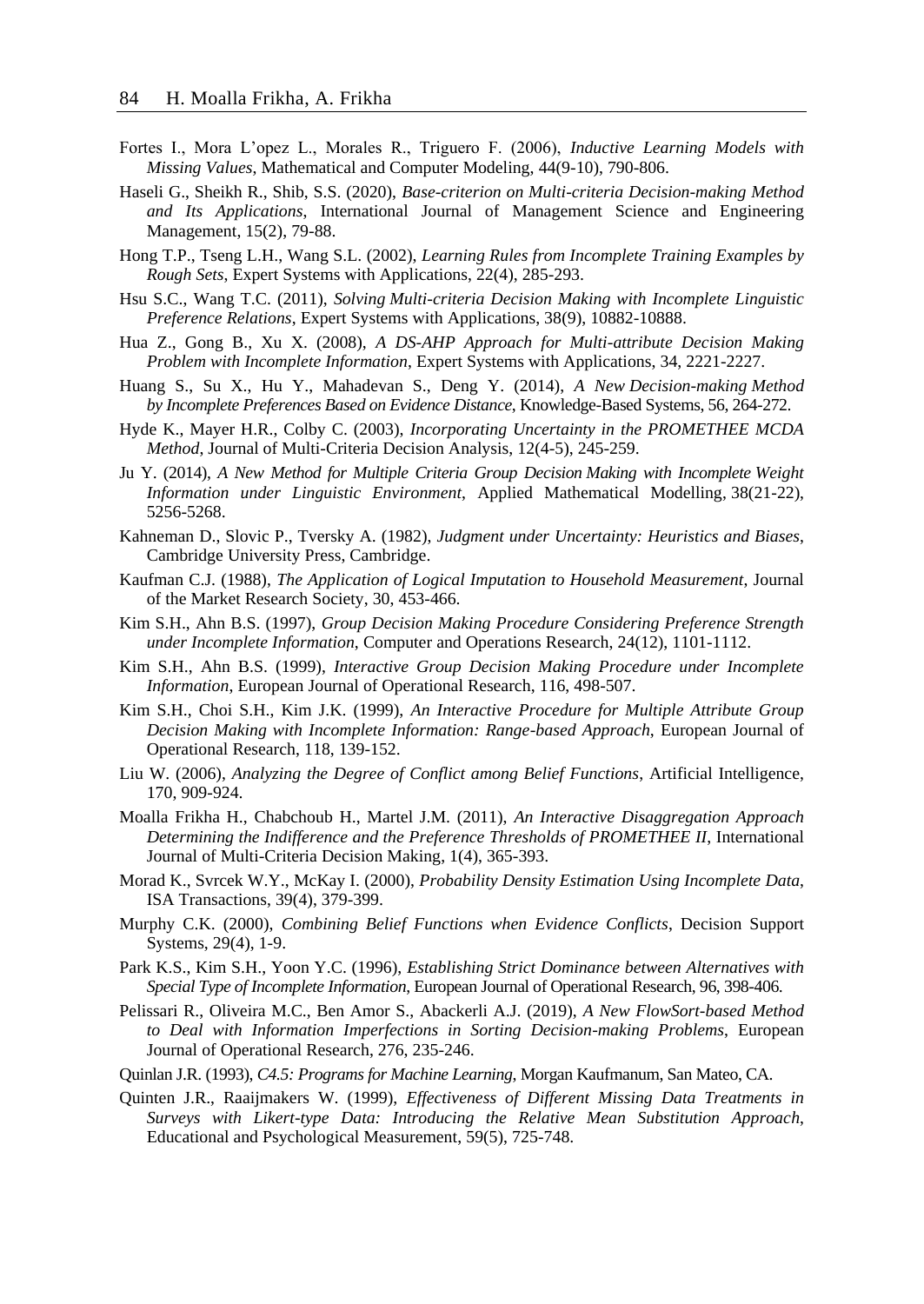- Fortes I., Mora L'opez L., Morales R., Triguero F. (2006), *Inductive Learning Models with Missing Values*, Mathematical and Computer Modeling, 44(9-10), 790-806.
- Haseli G., Sheikh R., Shib, S.S. (2020), *Base-criterion on Multi-criteria Decision-making Method and Its Applications*, International Journal of Management Science and Engineering Management, 15(2), 79-88.
- Hong T.P., Tseng L.H., Wang S.L. (2002), *Learning Rules from Incomplete Training Examples by Rough Sets*, Expert Systems with Applications, 22(4), 285-293.
- Hsu S.C., Wang T.C. (2011), *Solving Multi-criteria Decision Making with Incomplete Linguistic Preference Relations*, Expert Systems with Applications, 38(9), 10882-10888.
- Hua Z., Gong B., Xu X. (2008), *A DS-AHP Approach for Multi-attribute Decision Making Problem with Incomplete Information*, Expert Systems with Applications, 34, 2221-2227.
- Huang S., Su X., Hu Y., Mahadevan S., Deng Y. (2014), *A New Decision-making Method by Incomplete Preferences Based on Evidence Distance*, Knowledge-Based Systems, 56, 264-272.
- Hyde K., Mayer H.R., Colby C. (2003), *Incorporating Uncertainty in the PROMETHEE MCDA Method*, Journal of Multi-Criteria Decision Analysis, 12(4-5), 245-259.
- Ju Y. (2014), *A New Method for Multiple Criteria Group Decision Making with Incomplete Weight Information under Linguistic Environment*, Applied Mathematical Modelling, 38(21-22), 5256-5268.
- Kahneman D., Slovic P., Tversky A. (1982), *Judgment under Uncertainty: Heuristics and Biases*, Cambridge University Press, Cambridge.
- Kaufman C.J. (1988), *The Application of Logical Imputation to Household Measurement*, Journal of the Market Research Society, 30, 453-466.
- Kim S.H., Ahn B.S. (1997), *Group Decision Making Procedure Considering Preference Strength under Incomplete Information*, Computer and Operations Research, 24(12), 1101-1112.
- Kim S.H., Ahn B.S. (1999), *Interactive Group Decision Making Procedure under Incomplete Information*, European Journal of Operational Research, 116, 498-507.
- Kim S.H., Choi S.H., Kim J.K. (1999), *An Interactive Procedure for Multiple Attribute Group Decision Making with Incomplete Information: Range-based Approach*, European Journal of Operational Research, 118, 139-152.
- Liu W. (2006), *Analyzing the Degree of Conflict among Belief Functions*, Artificial Intelligence, 170, 909-924.
- Moalla Frikha H., Chabchoub H., Martel J.M. (2011), *An Interactive Disaggregation Approach Determining the Indifference and the Preference Thresholds of PROMETHEE II*, International Journal of Multi-Criteria Decision Making, 1(4), 365-393.
- Morad K., Svrcek W.Y., McKay I. (2000), *Probability Density Estimation Using Incomplete Data*, ISA Transactions, 39(4), 379-399.
- Murphy C.K. (2000), *Combining Belief Functions when Evidence Conflicts*, Decision Support Systems, 29(4), 1-9.
- Park K.S., Kim S.H., Yoon Y.C. (1996), *Establishing Strict Dominance between Alternatives with Special Type of Incomplete Information*, European Journal of Operational Research, 96, 398-406.
- Pelissari R., Oliveira M.C., Ben Amor S., Abackerli A.J. (2019), *A New FlowSort-based Method to Deal with Information Imperfections in Sorting Decision-making Problems*, European Journal of Operational Research, 276, 235-246.
- Quinlan J.R. (1993), *C4.5: Programs for Machine Learning*, Morgan Kaufmanum, San Mateo, CA.
- Quinten J.R., Raaijmakers W. (1999), *Effectiveness of Different Missing Data Treatments in Surveys with Likert-type Data: Introducing the Relative Mean Substitution Approach*, Educational and Psychological Measurement, 59(5), 725-748.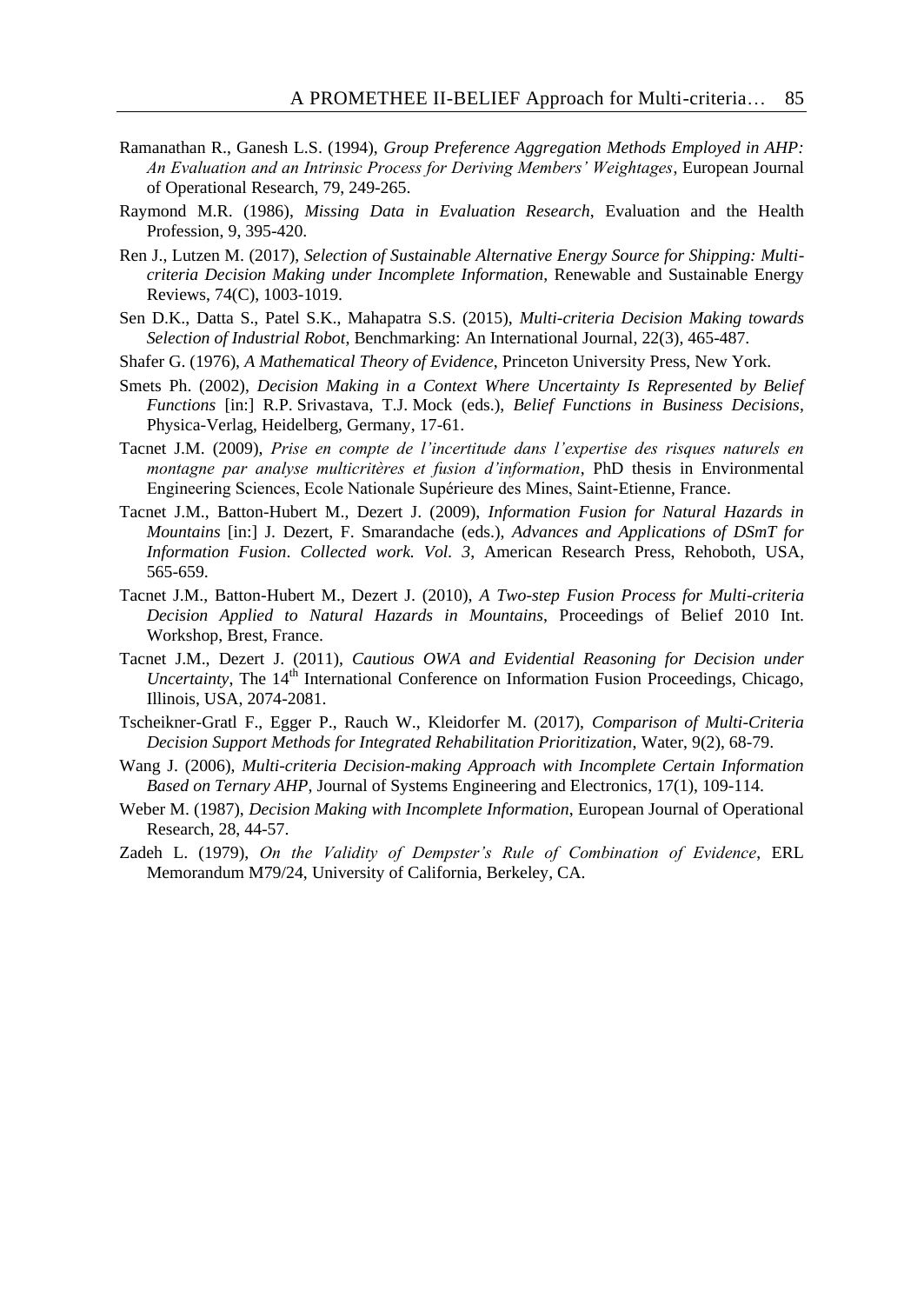- Ramanathan R., Ganesh L.S. (1994), *Group Preference Aggregation Methods Employed in AHP: An Evaluation and an Intrinsic Process for Deriving Members' Weightages*, European Journal of Operational Research, 79, 249-265.
- Raymond M.R. (1986), *Missing Data in Evaluation Research*, Evaluation and the Health Profession, 9, 395-420.
- Ren J., Lutzen M. (2017), *Selection of Sustainable Alternative Energy Source for Shipping: Multicriteria Decision Making under Incomplete Information*, [Renewable and Sustainable Energy](https://www.sciencedirect.com/science/journal/13640321)  [Reviews,](https://www.sciencedirect.com/science/journal/13640321) 74(C), 1003-1019.
- Sen D.K., Datta S., Patel S.K., Mahapatra S.S. (2015), *Multi-criteria Decision Making towards Selection of Industrial Robot*, Benchmarking: An International Journal, 22(3), 465-487.
- Shafer G. (1976), *A Mathematical Theory of Evidence*, Princeton University Press, New York.
- Smets Ph. (2002), *Decision Making in a Context Where Uncertainty Is Represented by Belief Functions* [in:] R.P. Srivastava, T.J. Mock (eds.), *Belief Functions in Business Decisions*, Physica-Verlag, Heidelberg, Germany, 17-61.
- Tacnet J.M. (2009), *Prise en compte de l'incertitude dans l'expertise des risques naturels en montagne par analyse multicritères et fusion d'information*, PhD thesis in Environmental Engineering Sciences, Ecole Nationale Supérieure des Mines, Saint-Etienne, France.
- Tacnet J.M., Batton-Hubert M., Dezert J. (2009), *Information Fusion for Natural Hazards in Mountains* [in:] J. Dezert, F. Smarandache (eds.), *Advances and Applications of DSmT for Information Fusion*. *Collected work. Vol. 3*, American Research Press, Rehoboth, USA, 565-659.
- Tacnet J.M., Batton-Hubert M., Dezert J. (2010), *A Two-step Fusion Process for Multi-criteria Decision Applied to Natural Hazards in Mountains*, Proceedings of Belief 2010 Int. Workshop, Brest, France.
- Tacnet J.M., Dezert J. (2011), *Cautious OWA and Evidential Reasoning for Decision under Uncertainty*, The 14<sup>th</sup> International Conference on Information Fusion Proceedings, Chicago, Illinois, USA, 2074-2081.
- Tscheikner-Gratl F., Egger P., Rauch W., Kleidorfer M. (2017), *Comparison of Multi-Criteria Decision Support Methods for Integrated Rehabilitation Prioritization*, Water, 9(2), 68-79.
- Wang J. (2006), *Multi-criteria Decision-making Approach with Incomplete Certain Information Based on Ternary AHP*, Journal of Systems Engineering and Electronics, 17(1), 109-114.
- Weber M. (1987), *Decision Making with Incomplete Information*, European Journal of Operational Research, 28, 44-57.
- Zadeh L. (1979), *On the Validity of Dempster's Rule of Combination of Evidence*, ERL Memorandum M79/24, University of California, Berkeley, CA.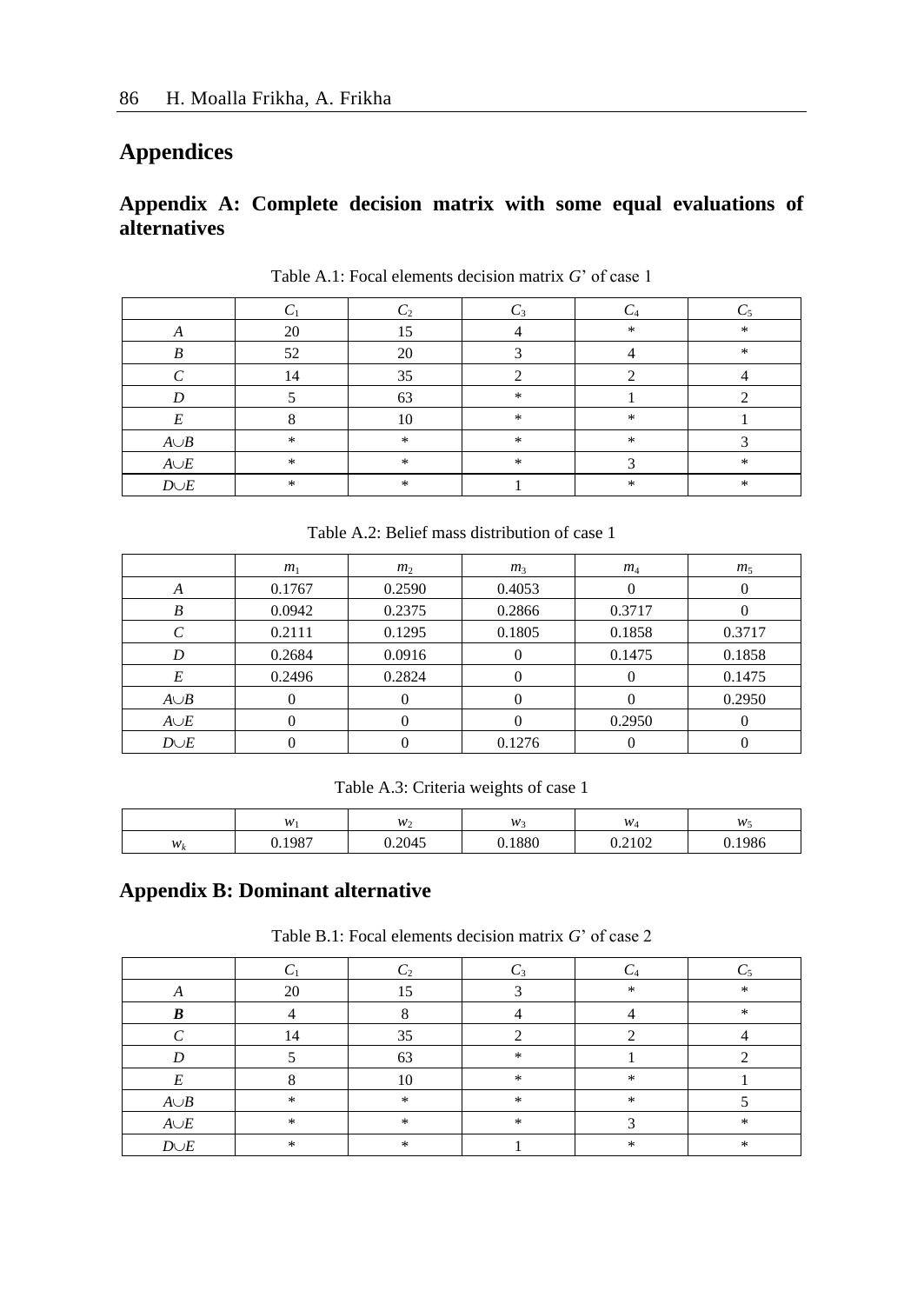# **Appendices**

## **Appendix A: Complete decision matrix with some equal evaluations of alternatives**

|            |               |                  |               | C4            |               |
|------------|---------------|------------------|---------------|---------------|---------------|
|            | 20            | 1 5              |               | $\frac{1}{2}$ | $\frac{1}{2}$ |
| $\Lambda$  |               |                  |               |               |               |
| D          | 52            | 20               |               |               | $\frac{1}{2}$ |
|            | 14            | 35               |               |               |               |
|            |               | 63               | $\frac{1}{2}$ |               |               |
| F          |               | 10               | $\star$       | $\frac{1}{2}$ |               |
| $A \cup B$ | $\mathbf{x}$  | $\frac{1}{2\pi}$ | $\star$       | $\frac{1}{2}$ |               |
| $A \cup E$ | $\frac{1}{2}$ | $\frac{1}{2}$    | $\star$       |               | *             |
| $D \cup E$ | $\frac{1}{2}$ | *                |               | *             | $\frac{1}{2}$ |

Table A.1: Focal elements decision matrix *G*' of case 1

Table A.2: Belief mass distribution of case 1

|            | m <sub>1</sub>    | m <sub>2</sub> | m <sub>3</sub> | $m_4$  | m <sub>5</sub> |
|------------|-------------------|----------------|----------------|--------|----------------|
| А          | 0.1767            | 0.2590         | 0.4053         | 0      |                |
| B          | 0.0942            | 0.2375         | 0.2866         | 0.3717 |                |
|            | 0.2111            | 0.1295         | 0.1805         | 0.1858 | 0.3717         |
| D          | 0.2684            | 0.0916         |                | 0.1475 | 0.1858         |
| E          | 0.2496            | 0.2824         |                | 0      | 0.1475         |
| $A \cup B$ | $\theta$          |                |                | $_{0}$ | 0.2950         |
| $A \cup E$ | $\mathbf{\Omega}$ |                |                | 0.2950 |                |
| $D \cup E$ |                   |                | 0.1276         |        |                |

Table A.3: Criteria weights of case 1

|                   | w            | $W_2$  | W    | $W_A$  | w      |
|-------------------|--------------|--------|------|--------|--------|
| $W_{k}$<br>$\sim$ | ,1987<br>. . | 0.2045 | 1880 | 0.2102 | 0.1986 |

# **Appendix B: Dominant alternative**

Table B.1: Focal elements decision matrix *G*' of case 2

|            | 20            | ۱۲,              |        | ×. | 冰 |
|------------|---------------|------------------|--------|----|---|
|            |               |                  |        |    | 水 |
|            | 14            | 35               |        |    |   |
|            |               | 63               | $\ast$ |    |   |
|            |               | 10               | $\ast$ | ×  |   |
| $A \cup B$ | $\frac{1}{2}$ | $\frac{1}{2}$    | $\ast$ | *  |   |
| $A{\cup}E$ | $\mathcal{H}$ | $\frac{1}{2\pi}$ | $\ast$ |    | 冰 |
| $D \cup E$ | $\mathcal{H}$ | $\mathcal{H}$    |        | *  | 家 |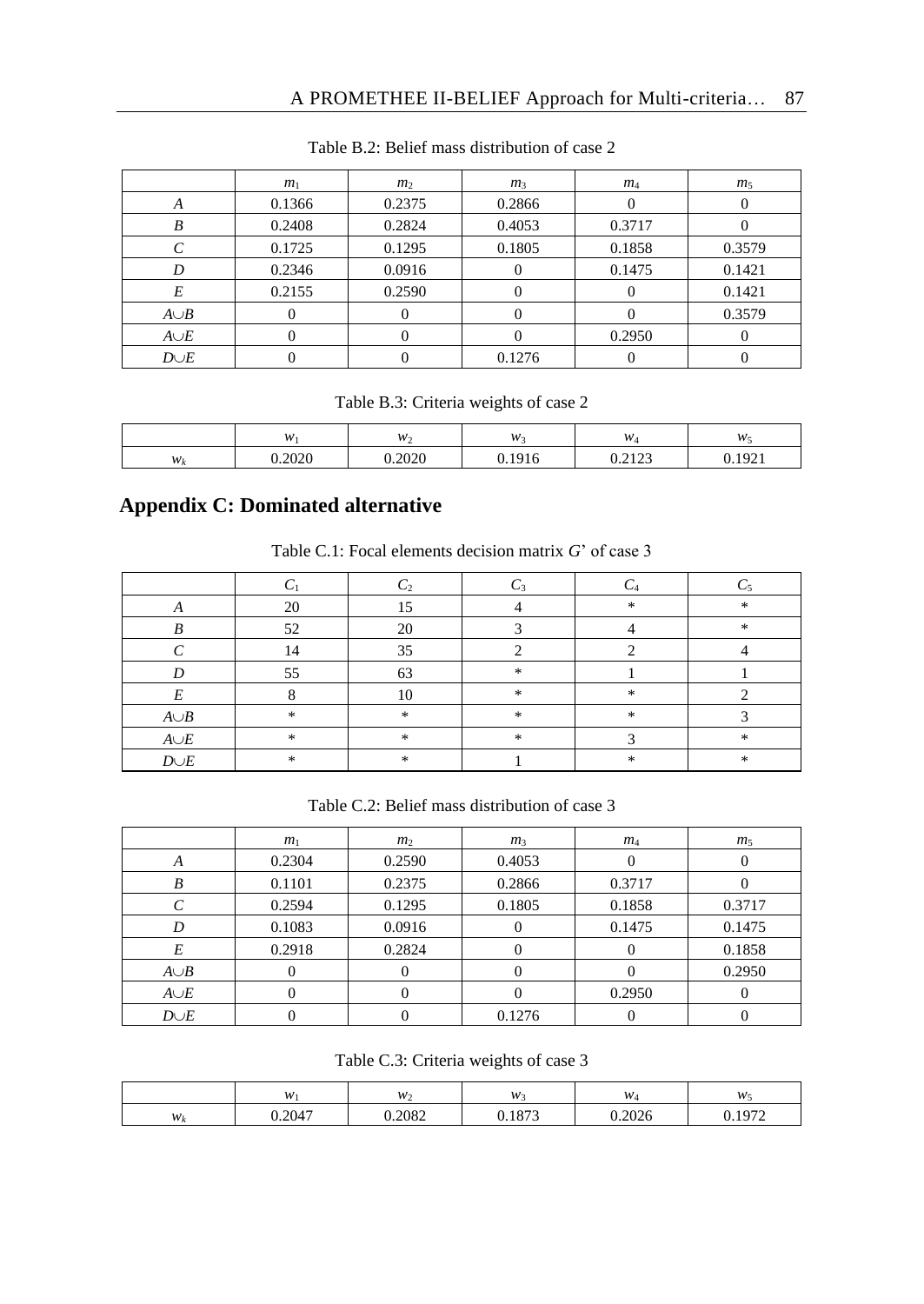|            | m <sub>1</sub> | m <sub>2</sub> | m <sub>3</sub> | $m_4$  | m <sub>5</sub> |
|------------|----------------|----------------|----------------|--------|----------------|
| А          | 0.1366         | 0.2375         | 0.2866         |        |                |
| B          | 0.2408         | 0.2824         | 0.4053         | 0.3717 |                |
|            | 0.1725         | 0.1295         | 0.1805         | 0.1858 | 0.3579         |
| D          | 0.2346         | 0.0916         |                | 0.1475 | 0.1421         |
| E          | 0.2155         | 0.2590         |                |        | 0.1421         |
| $A \cup B$ |                |                |                |        | 0.3579         |
| $A \cup E$ |                |                |                | 0.2950 |                |
| $D \cup E$ |                |                | 0.1276         |        |                |

Table B.2: Belief mass distribution of case 2

Table B.3: Criteria weights of case 2

|                | w      | $W_2$  | $W_3$  | $W_4$            | w.             |
|----------------|--------|--------|--------|------------------|----------------|
| W <sub>b</sub> | 0.2020 | 0.2020 | 0.1916 | 0.2122<br>0.4143 | 1021<br>0.1221 |

# **Appendix C: Dominated alternative**

| Table C.1: Focal elements decision matrix $G'$ of case 3 |  |  |  |
|----------------------------------------------------------|--|--|--|
|----------------------------------------------------------|--|--|--|

| л          | 20            | 15            |               | 宋             | $\frac{1}{20}$ |
|------------|---------------|---------------|---------------|---------------|----------------|
|            | 52            | 20            |               |               | $\frac{1}{20}$ |
|            | 14            | 35            |               |               |                |
|            | 55            | 63            | $\ast$        |               |                |
|            |               | 10            | $\ast$        | *             |                |
| $A \cup B$ | $\frac{1}{2}$ | $\frac{1}{2}$ | $\ast$        | $\frac{1}{2}$ |                |
| $A{\cup}E$ | $\frac{1}{2}$ | $\frac{1}{2}$ | $\frac{1}{2}$ |               | 宋              |
| $D \cup E$ | $\frac{1}{2}$ | $\frac{1}{2}$ |               | $\frac{1}{2}$ | $\frac{1}{20}$ |

Table C.2: Belief mass distribution of case 3

|            | m <sub>1</sub> | m <sub>2</sub> | m <sub>3</sub> | $m_4$  | m <sub>5</sub> |
|------------|----------------|----------------|----------------|--------|----------------|
| A          | 0.2304         | 0.2590         | 0.4053         |        |                |
| B          | 0.1101         | 0.2375         | 0.2866         | 0.3717 |                |
|            | 0.2594         | 0.1295         | 0.1805         | 0.1858 | 0.3717         |
| D          | 0.1083         | 0.0916         | 0              | 0.1475 | 0.1475         |
| E          | 0.2918         | 0.2824         |                | O      | 0.1858         |
| $A \cup B$ |                |                |                |        | 0.2950         |
| $A \cup E$ |                |                |                | 0.2950 |                |
| $D \cup E$ |                |                | 0.1276         |        |                |

Table C.3: Criteria weights of case 3

|                 | w      | $W_2$  | W <sub>2</sub>   | $W_4$          | $W_5$         |
|-----------------|--------|--------|------------------|----------------|---------------|
| $W_l$<br>$\sim$ | 0.2047 | 0.2082 | 072<br>$0.101 -$ | 2026<br>∪.∠∪∠o | 1972<br>v. 17 |